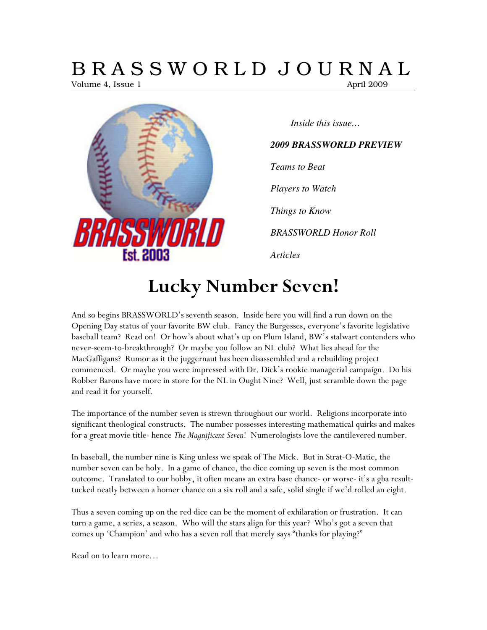# B R A S S W O R L D J O U R N A L

Volume 4, Issue 1 April 2009



*Inside this issue…* 

### *2009 BRASSWORLD PREVIEW*

*Teams to Beat* 

*Players to Watch* 

*Things to Know* 

*BRASSWORLD Honor Roll* 

*Articles* 

# Lucky Number Seven!

And so begins BRASSWORLD's seventh season. Inside here you will find a run down on the Opening Day status of your favorite BW club. Fancy the Burgesses, everyone's favorite legislative baseball team? Read on! Or how's about what's up on Plum Island, BW's stalwart contenders who never-seem-to-breakthrough? Or maybe you follow an NL club? What lies ahead for the MacGaffigans? Rumor as it the juggernaut has been disassembled and a rebuilding project commenced. Or maybe you were impressed with Dr. Dick's rookie managerial campaign. Do his Robber Barons have more in store for the NL in Ought Nine? Well, just scramble down the page and read it for yourself.

The importance of the number seven is strewn throughout our world. Religions incorporate into significant theological constructs. The number possesses interesting mathematical quirks and makes for a great movie title- hence The Magnificent Seven! Numerologists love the cantilevered number.

In baseball, the number nine is King unless we speak of The Mick. But in Strat-O-Matic, the number seven can be holy. In a game of chance, the dice coming up seven is the most common outcome. Translated to our hobby, it often means an extra base chance- or worse- it's a gba resulttucked neatly between a homer chance on a six roll and a safe, solid single if we'd rolled an eight.

Thus a seven coming up on the red dice can be the moment of exhilaration or frustration. It can turn a game, a series, a season. Who will the stars align for this year? Who's got a seven that comes up 'Champion' and who has a seven roll that merely says "thanks for playing?"

Read on to learn more…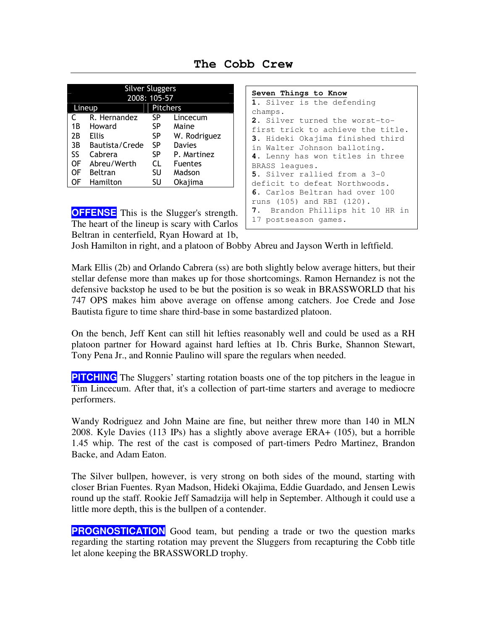| <b>Silver Sluggers</b><br>2008: 105-57 |                |                 |                |  |  |
|----------------------------------------|----------------|-----------------|----------------|--|--|
| Lineup                                 |                | <b>Pitchers</b> |                |  |  |
| C                                      | R. Hernandez   | SP              | Lincecum       |  |  |
| 1B                                     | Howard         | SP              | Maine          |  |  |
| 2B                                     | <b>Ellis</b>   | SP              | W. Rodriguez   |  |  |
| 3B                                     | Bautista/Crede | SP              | Davies         |  |  |
| SS                                     | Cabrera        | SP              | P. Martinez    |  |  |
| OF                                     | Abreu/Werth    | CL              | <b>Fuentes</b> |  |  |
| OF                                     | Beltran        | SU              | Madson         |  |  |
| OF                                     | Hamilton       | SU              | Okajima        |  |  |

**The Cobb Crew** 

**OFFENSE** This is the Slugger's strength. The heart of the lineup is scary with Carlos Beltran in centerfield, Ryan Howard at 1b,

```
Seven Things to Know
1. Silver is the defending 
champs. 
2. Silver turned the worst-to-
first trick to achieve the title. 
3. Hideki Okajima finished third 
in Walter Johnson balloting. 
4. Lenny has won titles in three 
BRASS leagues. 
5. Silver rallied from a 3-0 
deficit to defeat Northwoods. 
6. Carlos Beltran had over 100 
runs (105) and RBI (120). 
7. Brandon Phillips hit 10 HR in 
17 postseason games.
```
Josh Hamilton in right, and a platoon of Bobby Abreu and Jayson Werth in leftfield.

Mark Ellis (2b) and Orlando Cabrera (ss) are both slightly below average hitters, but their stellar defense more than makes up for those shortcomings. Ramon Hernandez is not the defensive backstop he used to be but the position is so weak in BRASSWORLD that his 747 OPS makes him above average on offense among catchers. Joe Crede and Jose Bautista figure to time share third-base in some bastardized platoon.

On the bench, Jeff Kent can still hit lefties reasonably well and could be used as a RH platoon partner for Howard against hard lefties at 1b. Chris Burke, Shannon Stewart, Tony Pena Jr., and Ronnie Paulino will spare the regulars when needed.

**PITCHING** The Sluggers' starting rotation boasts one of the top pitchers in the league in Tim Lincecum. After that, it's a collection of part-time starters and average to mediocre performers.

Wandy Rodriguez and John Maine are fine, but neither threw more than 140 in MLN 2008. Kyle Davies (113 IPs) has a slightly above average ERA+ (105), but a horrible 1.45 whip. The rest of the cast is composed of part-timers Pedro Martinez, Brandon Backe, and Adam Eaton.

The Silver bullpen, however, is very strong on both sides of the mound, starting with closer Brian Fuentes. Ryan Madson, Hideki Okajima, Eddie Guardado, and Jensen Lewis round up the staff. Rookie Jeff Samadzija will help in September. Although it could use a little more depth, this is the bullpen of a contender.

**PROGNOSTICATION** Good team, but pending a trade or two the question marks regarding the starting rotation may prevent the Sluggers from recapturing the Cobb title let alone keeping the BRASSWORLD trophy.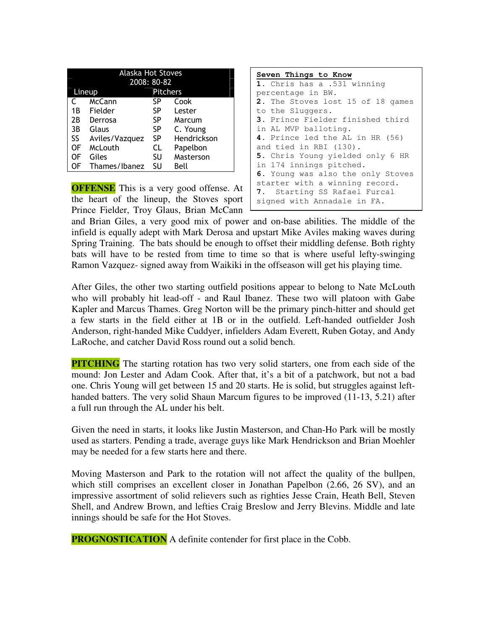| <b>Alaska Hot Stoves</b> |                |                 |             |  |
|--------------------------|----------------|-----------------|-------------|--|
| 2008: 80-82              |                |                 |             |  |
| Lineup                   |                | <b>Pitchers</b> |             |  |
|                          | McCann         | SP              | Cook        |  |
| 1 B                      | Fielder        | SP              | Lester      |  |
| 2B                       | Derrosa        | SP              | Marcum      |  |
| 3B                       | Glaus          | SP              | C. Young    |  |
| SS                       | Aviles/Vazquez | SP              | Hendrickson |  |
| OF                       | McLouth        | CL              | Papelbon    |  |
| OF                       | Giles          | SU              | Masterson   |  |
| OF                       | Thames/Ibanez  | SU              | Bell        |  |
|                          |                |                 |             |  |

**OFFENSE** This is a very good offense. At the heart of the lineup, the Stoves sport Prince Fielder, Troy Glaus, Brian McCann

| Seven Things to Know              |
|-----------------------------------|
| 1. Chris has a .531 winning       |
| percentage in BW.                 |
| 2. The Stoves lost 15 of 18 games |
| to the Sluggers.                  |
| 3. Prince Fielder finished third  |
| in AL MVP balloting.              |
| 4. Prince led the AL in HR (56)   |
| and tied in RBI (130).            |
| 5. Chris Young yielded only 6 HR  |
| in 174 innings pitched.           |
| 6. Young was also the only Stoves |
| starter with a winning record.    |
| 7. Starting SS Rafael Furcal      |
| signed with Annadale in FA.       |

and Brian Giles, a very good mix of power and on-base abilities. The middle of the infield is equally adept with Mark Derosa and upstart Mike Aviles making waves during Spring Training. The bats should be enough to offset their middling defense. Both righty bats will have to be rested from time to time so that is where useful lefty-swinging Ramon Vazquez- signed away from Waikiki in the offseason will get his playing time.

After Giles, the other two starting outfield positions appear to belong to Nate McLouth who will probably hit lead-off - and Raul Ibanez. These two will platoon with Gabe Kapler and Marcus Thames. Greg Norton will be the primary pinch-hitter and should get a few starts in the field either at 1B or in the outfield. Left-handed outfielder Josh Anderson, right-handed Mike Cuddyer, infielders Adam Everett, Ruben Gotay, and Andy LaRoche, and catcher David Ross round out a solid bench.

**PITCHING** The starting rotation has two very solid starters, one from each side of the mound: Jon Lester and Adam Cook. After that, it's a bit of a patchwork, but not a bad one. Chris Young will get between 15 and 20 starts. He is solid, but struggles against lefthanded batters. The very solid Shaun Marcum figures to be improved (11-13, 5.21) after a full run through the AL under his belt.

Given the need in starts, it looks like Justin Masterson, and Chan-Ho Park will be mostly used as starters. Pending a trade, average guys like Mark Hendrickson and Brian Moehler may be needed for a few starts here and there.

Moving Masterson and Park to the rotation will not affect the quality of the bullpen, which still comprises an excellent closer in Jonathan Papelbon (2.66, 26 SV), and an impressive assortment of solid relievers such as righties Jesse Crain, Heath Bell, Steven Shell, and Andrew Brown, and lefties Craig Breslow and Jerry Blevins. Middle and late innings should be safe for the Hot Stoves.

**PROGNOSTICATION** A definite contender for first place in the Cobb.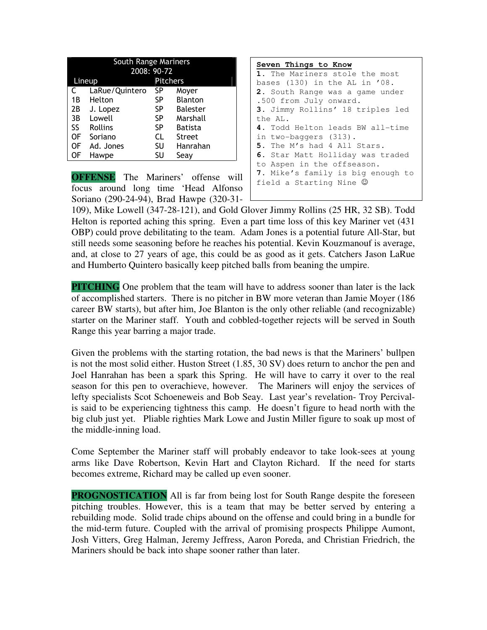| South Range Mariners |                |                 |                 |  |  |
|----------------------|----------------|-----------------|-----------------|--|--|
|                      | 2008: 90-72    |                 |                 |  |  |
| Lineup               |                | <b>Pitchers</b> |                 |  |  |
| C                    | LaRue/Quintero | <b>SP</b>       | Moyer           |  |  |
| 1Β                   | Helton         | <b>SP</b>       | <b>Blanton</b>  |  |  |
| 2B                   | J. Lopez       | <b>SP</b>       | <b>Balester</b> |  |  |
| 3B                   | Lowell         | SP.             | Marshall        |  |  |
| SS                   | <b>Rollins</b> | SP              | <b>Batista</b>  |  |  |
| OF                   | Soriano        | <b>CL</b>       | <b>Street</b>   |  |  |
| OF                   | Ad. Jones      | SU              | Hanrahan        |  |  |
| OF                   | Hawpe          | SU              | Seay            |  |  |
|                      |                |                 |                 |  |  |

**OFFENSE** The Mariners' offense will focus around long time 'Head Alfonso Soriano (290-24-94), Brad Hawpe (320-31-

| Seven Things to Know              |
|-----------------------------------|
| 1. The Mariners stole the most    |
| bases (130) in the AL in '08.     |
| 2. South Range was a game under   |
| .500 from July onward.            |
| 3. Jimmy Rollins' 18 triples led  |
| the AL.                           |
| 4. Todd Helton leads BW all-time  |
| in two-baggers (313).             |
| 5. The M's had 4 All Stars.       |
| 6. Star Matt Holliday was traded  |
| to Aspen in the offseason.        |
| 7. Mike's family is big enough to |
| field a Starting Nine (2)         |

109), Mike Lowell (347-28-121), and Gold Glover Jimmy Rollins (25 HR, 32 SB). Todd Helton is reported aching this spring. Even a part time loss of this key Mariner vet (431 OBP) could prove debilitating to the team. Adam Jones is a potential future All-Star, but still needs some seasoning before he reaches his potential. Kevin Kouzmanouf is average, and, at close to 27 years of age, this could be as good as it gets. Catchers Jason LaRue and Humberto Quintero basically keep pitched balls from beaning the umpire.

**PITCHING** One problem that the team will have to address sooner than later is the lack of accomplished starters. There is no pitcher in BW more veteran than Jamie Moyer (186 career BW starts), but after him, Joe Blanton is the only other reliable (and recognizable) starter on the Mariner staff. Youth and cobbled-together rejects will be served in South Range this year barring a major trade.

Given the problems with the starting rotation, the bad news is that the Mariners' bullpen is not the most solid either. Huston Street (1.85, 30 SV) does return to anchor the pen and Joel Hanrahan has been a spark this Spring. He will have to carry it over to the real season for this pen to overachieve, however. The Mariners will enjoy the services of lefty specialists Scot Schoeneweis and Bob Seay. Last year's revelation- Troy Percivalis said to be experiencing tightness this camp. He doesn't figure to head north with the big club just yet. Pliable righties Mark Lowe and Justin Miller figure to soak up most of the middle-inning load.

Come September the Mariner staff will probably endeavor to take look-sees at young arms like Dave Robertson, Kevin Hart and Clayton Richard. If the need for starts becomes extreme, Richard may be called up even sooner.

**PROGNOSTICATION** All is far from being lost for South Range despite the foreseen pitching troubles. However, this is a team that may be better served by entering a rebuilding mode. Solid trade chips abound on the offense and could bring in a bundle for the mid-term future. Coupled with the arrival of promising prospects Philippe Aumont, Josh Vitters, Greg Halman, Jeremy Jeffress, Aaron Poreda, and Christian Friedrich, the Mariners should be back into shape sooner rather than later.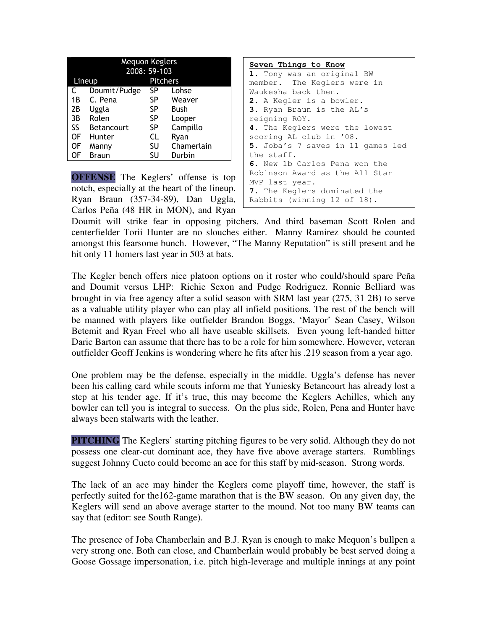| <b>Mequon Keglers</b> |              |          |            |  |  |
|-----------------------|--------------|----------|------------|--|--|
|                       | 2008: 59-103 |          |            |  |  |
| Lineup                |              | Pitchers |            |  |  |
| C                     | Doumit/Pudge | SP       | Lohse      |  |  |
| 1Β                    | C. Pena      | SP       | Weaver     |  |  |
| 2В                    | Uggla        | SP       | Bush       |  |  |
| 3B                    | Rolen        | SP       | Looper     |  |  |
| SS                    | Betancourt   | SP       | Campillo   |  |  |
| 0F                    | Hunter       | CL       | Ryan       |  |  |
| OF                    | Manny        | SU       | Chamerlain |  |  |
| ΟF                    | <b>Braun</b> | SU       | Durbin     |  |  |

**OFFENSE** The Keglers' offense is top notch, especially at the heart of the lineup. Ryan Braun (357-34-89), Dan Uggla, Carlos Peña (48 HR in MON), and Ryan

| Seven Things to Know              |
|-----------------------------------|
| 1. Tony was an original BW        |
| member. The Keglers were in       |
| Waukesha back then.               |
| 2. A Kegler is a bowler.          |
| 3. Ryan Braun is the AL's         |
| reigning ROY.                     |
| 4. The Keglers were the lowest    |
| scoring AL club in '08.           |
| 5. Joba's 7 saves in 11 games led |
| the staff.                        |
| 6. New 1b Carlos Pena won the     |
| Robinson Award as the All Star    |
| MVP last year.                    |
| 7. The Keglers dominated the      |
| Rabbits (winning 12 of 18).       |

Doumit will strike fear in opposing pitchers. And third baseman Scott Rolen and centerfielder Torii Hunter are no slouches either. Manny Ramirez should be counted amongst this fearsome bunch. However, "The Manny Reputation" is still present and he hit only 11 homers last year in 503 at bats.

The Kegler bench offers nice platoon options on it roster who could/should spare Peña and Doumit versus LHP: Richie Sexon and Pudge Rodriguez. Ronnie Belliard was brought in via free agency after a solid season with SRM last year (275, 31 2B) to serve as a valuable utility player who can play all infield positions. The rest of the bench will be manned with players like outfielder Brandon Boggs, 'Mayor' Sean Casey, Wilson Betemit and Ryan Freel who all have useable skillsets. Even young left-handed hitter Daric Barton can assume that there has to be a role for him somewhere. However, veteran outfielder Geoff Jenkins is wondering where he fits after his .219 season from a year ago.

One problem may be the defense, especially in the middle. Uggla's defense has never been his calling card while scouts inform me that Yuniesky Betancourt has already lost a step at his tender age. If it's true, this may become the Keglers Achilles, which any bowler can tell you is integral to success. On the plus side, Rolen, Pena and Hunter have always been stalwarts with the leather.

**PITCHING** The Keglers' starting pitching figures to be very solid. Although they do not possess one clear-cut dominant ace, they have five above average starters. Rumblings suggest Johnny Cueto could become an ace for this staff by mid-season. Strong words.

The lack of an ace may hinder the Keglers come playoff time, however, the staff is perfectly suited for the162-game marathon that is the BW season. On any given day, the Keglers will send an above average starter to the mound. Not too many BW teams can say that (editor: see South Range).

The presence of Joba Chamberlain and B.J. Ryan is enough to make Mequon's bullpen a very strong one. Both can close, and Chamberlain would probably be best served doing a Goose Gossage impersonation, i.e. pitch high-leverage and multiple innings at any point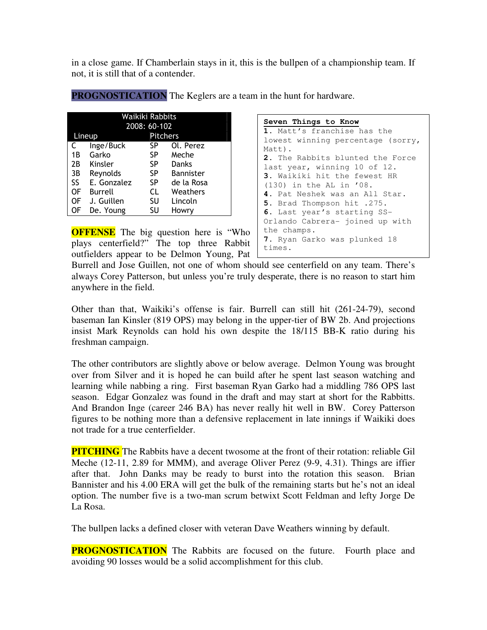in a close game. If Chamberlain stays in it, this is the bullpen of a championship team. If not, it is still that of a contender.

| Waikiki Rabbits |              |                 |                  |  |  |
|-----------------|--------------|-----------------|------------------|--|--|
|                 | 2008: 60-102 |                 |                  |  |  |
| Lineup          |              | <b>Pitchers</b> |                  |  |  |
| C               | Inge/Buck    | SP              | Ol. Perez        |  |  |
| 1B              | Garko        | SP              | Meche            |  |  |
| 2В              | Kinsler      | SP.             | Danks            |  |  |
| 3B              | Reynolds     | SP              | <b>Bannister</b> |  |  |
| SS              | E. Gonzalez  | SP              | de la Rosa       |  |  |
| <b>OF</b>       | Burrell      | CL              | Weathers         |  |  |
| OF              | J. Guillen   | SU              | Lincoln          |  |  |
| OF              | De. Young    | SU              | Howrv            |  |  |

**PROGNOSTICATION** The Keglers are a team in the hunt for hardware.

**OFFENSE** The big question here is "Who plays centerfield?" The top three Rabbit outfielders appear to be Delmon Young, Pat

#### **Seven Things to Know**

```
1. Matt's franchise has the 
lowest winning percentage (sorry, 
Matt). 
2. The Rabbits blunted the Force 
last year, winning 10 of 12. 
3. Waikiki hit the fewest HR 
(130) in the AL in '08. 
4. Pat Neshek was an All Star. 
5. Brad Thompson hit .275. 
6. Last year's starting SS-
Orlando Cabrera- joined up with 
the champs. 
7. Ryan Garko was plunked 18 
times.
```
Burrell and Jose Guillen, not one of whom should see centerfield on any team. There's always Corey Patterson, but unless you're truly desperate, there is no reason to start him anywhere in the field.

Other than that, Waikiki's offense is fair. Burrell can still hit (261-24-79), second baseman Ian Kinsler (819 OPS) may belong in the upper-tier of BW 2b. And projections insist Mark Reynolds can hold his own despite the 18/115 BB-K ratio during his freshman campaign.

The other contributors are slightly above or below average. Delmon Young was brought over from Silver and it is hoped he can build after he spent last season watching and learning while nabbing a ring. First baseman Ryan Garko had a middling 786 OPS last season. Edgar Gonzalez was found in the draft and may start at short for the Rabbitts. And Brandon Inge (career 246 BA) has never really hit well in BW. Corey Patterson figures to be nothing more than a defensive replacement in late innings if Waikiki does not trade for a true centerfielder.

**PITCHING** The Rabbits have a decent twosome at the front of their rotation: reliable Gil Meche (12-11, 2.89 for MMM), and average Oliver Perez (9-9, 4.31). Things are iffier after that. John Danks may be ready to burst into the rotation this season. Brian Bannister and his 4.00 ERA will get the bulk of the remaining starts but he's not an ideal option. The number five is a two-man scrum betwixt Scott Feldman and lefty Jorge De La Rosa.

The bullpen lacks a defined closer with veteran Dave Weathers winning by default.

**PROGNOSTICATION** The Rabbits are focused on the future. Fourth place and avoiding 90 losses would be a solid accomplishment for this club.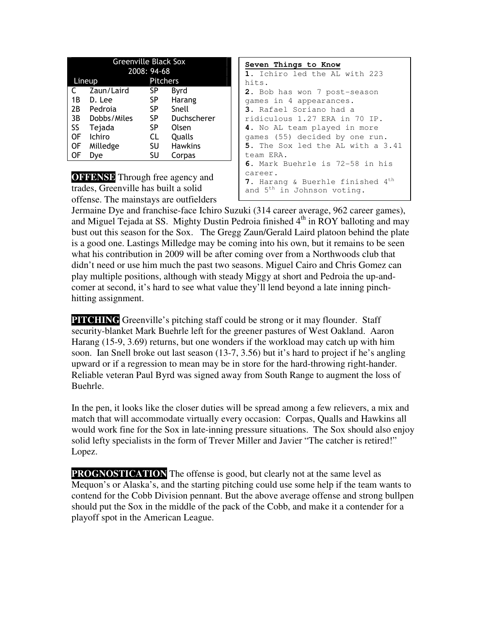| <b>Greenville Black Sox</b> |             |    |                 |  |  |
|-----------------------------|-------------|----|-----------------|--|--|
|                             | 2008: 94-68 |    |                 |  |  |
| Lineup                      |             |    | <b>Pitchers</b> |  |  |
| C                           | Zaun/Laird  | SP | Byrd            |  |  |
| 1 B                         | D. Lee      | SP | Harang          |  |  |
| 2B                          | Pedroia     | SP | Snell           |  |  |
| 3B                          | Dobbs/Miles | SP | Duchscherer     |  |  |
| SS                          | Tejada      | SP | Olsen           |  |  |
| OF                          | Ichiro      | CL | Qualls          |  |  |
| OF                          | Milledge    | SU | <b>Hawkins</b>  |  |  |
| OF                          | Dve         | SU | Corpas          |  |  |

**OFFENSE** Through free agency and trades, Greenville has built a solid offense. The mainstays are outfielders

| Seven Things to Know                         |
|----------------------------------------------|
| 1. Ichiro led the AL with 223                |
| hits.                                        |
| 2. Bob has won 7 post-season                 |
| games in 4 appearances.                      |
| <b>3.</b> Rafael Soriano had a               |
| ridiculous 1.27 ERA in 70 IP.                |
| 4. No AL team played in more                 |
| games (55) decided by one run.               |
| 5. The Sox led the AL with a 3.41            |
| team ERA.                                    |
| 6. Mark Buehrle is 72-58 in his              |
| career.                                      |
| 7. Harang & Buerhle finished 4 <sup>th</sup> |
| and 5 <sup>th</sup> in Johnson voting.       |

Jermaine Dye and franchise-face Ichiro Suzuki (314 career average, 962 career games), and Miguel Tejada at SS. Mighty Dustin Pedroia finished 4<sup>th</sup> in ROY balloting and may bust out this season for the Sox. The Gregg Zaun/Gerald Laird platoon behind the plate is a good one. Lastings Milledge may be coming into his own, but it remains to be seen what his contribution in 2009 will be after coming over from a Northwoods club that didn't need or use him much the past two seasons. Miguel Cairo and Chris Gomez can play multiple positions, although with steady Miggy at short and Pedroia the up-andcomer at second, it's hard to see what value they'll lend beyond a late inning pinchhitting assignment.

**PITCHING** Greenville's pitching staff could be strong or it may flounder. Staff security-blanket Mark Buehrle left for the greener pastures of West Oakland. Aaron Harang (15-9, 3.69) returns, but one wonders if the workload may catch up with him soon. Ian Snell broke out last season (13-7, 3.56) but it's hard to project if he's angling upward or if a regression to mean may be in store for the hard-throwing right-hander. Reliable veteran Paul Byrd was signed away from South Range to augment the loss of Buehrle.

In the pen, it looks like the closer duties will be spread among a few relievers, a mix and match that will accommodate virtually every occasion: Corpas, Qualls and Hawkins all would work fine for the Sox in late-inning pressure situations. The Sox should also enjoy solid lefty specialists in the form of Trever Miller and Javier "The catcher is retired!" Lopez.

**PROGNOSTICATION** The offense is good, but clearly not at the same level as Mequon's or Alaska's, and the starting pitching could use some help if the team wants to contend for the Cobb Division pennant. But the above average offense and strong bullpen should put the Sox in the middle of the pack of the Cobb, and make it a contender for a playoff spot in the American League.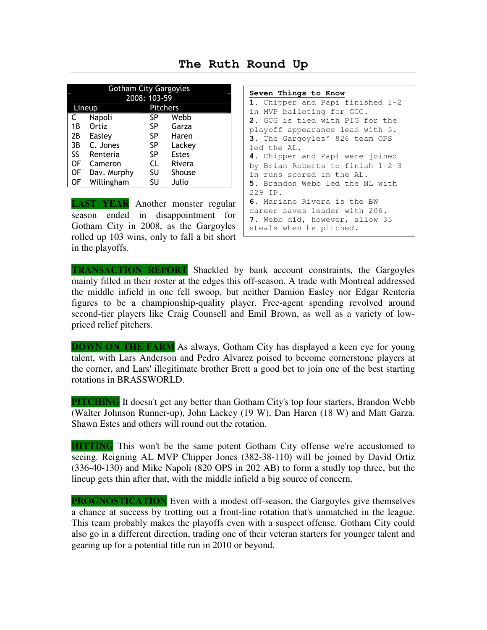**The Ruth Round Up** 

| <b>Gotham City Gargoyles</b><br>2008: 103-59 |             |                 |              |  |
|----------------------------------------------|-------------|-----------------|--------------|--|
|                                              | Lineup      | <b>Pitchers</b> |              |  |
| C                                            | Napoli      | SP              | Webb         |  |
| 1 B                                          | Ortiz       | SP              | Garza        |  |
| 2B                                           | Easley      | SP.             | Haren        |  |
| 3B                                           | C. Jones    | <b>SP</b>       | Lackey       |  |
| SS                                           | Renteria    | <b>SP</b>       | <b>Estes</b> |  |
| <b>OF</b>                                    | Cameron     | CL              | Rivera       |  |
| OF                                           | Dav. Murphy | SU              | Shouse       |  |
| ΟF                                           | Willingham  | SU              | Julio        |  |

**LAST YEAR** Another monster regular season ended in disappointment for Gotham City in 2008, as the Gargoyles rolled up 103 wins, only to fall a bit short in the playoffs.

**Seven Things to Know 1.** Chipper and Papi finished 1-2 in MVP balloting for GCG. **2.** GCG is tied with PIG for the playoff appearance lead with 5. **3.** The Gargoyles' 826 team OPS led the AL. **4.** Chipper and Papi were joined by Brian Roberts to finish 1-2-3 in runs scored in the AL. **5.** Brandon Webb led the NL with 229 IP. **6.** Mariano Rivera is the BW career saves leader with 206. **7.** Webb did, however, allow 35 steals when he pitched.

**TRANSACTION REPORT** Shackled by bank account constraints, the Gargoyles mainly filled in their roster at the edges this off-season. A trade with Montreal addressed the middle infield in one fell swoop, but neither Damion Easley nor Edgar Renteria figures to be a championship-quality player. Free-agent spending revolved around second-tier players like Craig Counsell and Emil Brown, as well as a variety of lowpriced relief pitchers.

**DOWN ON THE FARM** As always, Gotham City has displayed a keen eye for young talent, with Lars Anderson and Pedro Alvarez poised to become cornerstone players at the corner, and Lars' illegitimate brother Brett a good bet to join one of the best starting rotations in BRASSWORLD.

**PITCHING** It doesn't get any better than Gotham City's top four starters, Brandon Webb (Walter Johnson Runner-up), John Lackey (19 W), Dan Haren (18 W) and Matt Garza. Shawn Estes and others will round out the rotation.

**HITTING** This won't be the same potent Gotham City offense we're accustomed to seeing. Reigning AL MVP Chipper Jones (382-38-110) will be joined by David Ortiz (336-40-130) and Mike Napoli (820 OPS in 202 AB) to form a studly top three, but the lineup gets thin after that, with the middle infield a big source of concern.

**PROGNOSTICATION** Even with a modest off-season, the Gargoyles give themselves a chance at success by trotting out a front-line rotation that's unmatched in the league. This team probably makes the playoffs even with a suspect offense. Gotham City could also go in a different direction, trading one of their veteran starters for younger talent and gearing up for a potential title run in 2010 or beyond.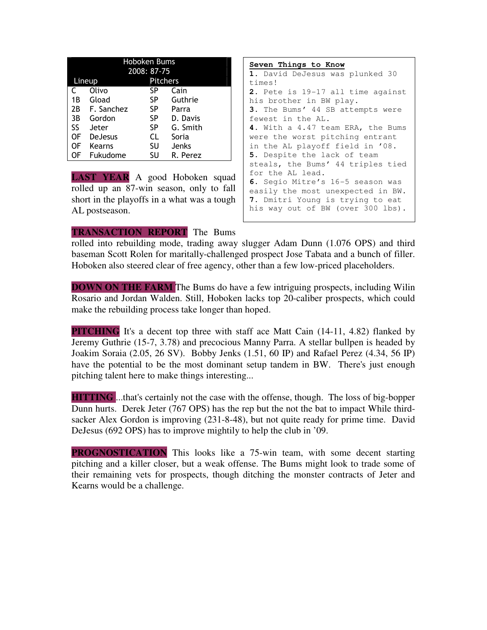| <b>Hoboken Bums</b> |                |     |                 |  |  |  |
|---------------------|----------------|-----|-----------------|--|--|--|
|                     | 2008: 87-75    |     |                 |  |  |  |
| Lineup              |                |     | <b>Pitchers</b> |  |  |  |
| C                   | Olivo          | SP  | Cain            |  |  |  |
| 1B                  | Gload          | SP  | Guthrie         |  |  |  |
| 2B                  | F. Sanchez     | SP  | Parra           |  |  |  |
| 3B                  | Gordon         | SP. | D. Davis        |  |  |  |
| SS.                 | Jeter          | SP  | G. Smith        |  |  |  |
| OF                  | <b>DeJesus</b> | CL  | Soria           |  |  |  |
| OF                  | Kearns         | SU  | Jenks           |  |  |  |
| OF                  | Fukudome       | SU  | R. Perez        |  |  |  |

**LAST YEAR** A good Hoboken squad rolled up an 87-win season, only to fall short in the playoffs in a what was a tough AL postseason.

| Seven Things to Know              |
|-----------------------------------|
| 1. David DeJesus was plunked 30   |
| times!                            |
| 2. Pete is 19-17 all time against |
| his brother in BW play.           |
| 3. The Bums' 44 SB attempts were  |
| fewest in the AL.                 |
| 4. With a 4.47 team ERA, the Bums |
| were the worst pitching entrant   |
| in the AL playoff field in '08.   |
| 5. Despite the lack of team       |
| steals, the Bums' 44 triples tied |
| for the AL lead.                  |
| 6. Segio Mitre's 16-5 season was  |
| easily the most unexpected in BW. |
| 7. Dmitri Young is trying to eat  |
| his way out of BW (over 300 lbs). |

### **TRANSACTION REPORT** The Bums

rolled into rebuilding mode, trading away slugger Adam Dunn (1.076 OPS) and third baseman Scott Rolen for maritally-challenged prospect Jose Tabata and a bunch of filler. Hoboken also steered clear of free agency, other than a few low-priced placeholders.

**DOWN ON THE FARM** The Bums do have a few intriguing prospects, including Wilin Rosario and Jordan Walden. Still, Hoboken lacks top 20-caliber prospects, which could make the rebuilding process take longer than hoped.

**PITCHING** It's a decent top three with staff ace Matt Cain (14-11, 4.82) flanked by Jeremy Guthrie (15-7, 3.78) and precocious Manny Parra. A stellar bullpen is headed by Joakim Soraia (2.05, 26 SV). Bobby Jenks (1.51, 60 IP) and Rafael Perez (4.34, 56 IP) have the potential to be the most dominant setup tandem in BW. There's just enough pitching talent here to make things interesting...

**HITTING** ...that's certainly not the case with the offense, though. The loss of big-bopper Dunn hurts. Derek Jeter (767 OPS) has the rep but the not the bat to impact While thirdsacker Alex Gordon is improving (231-8-48), but not quite ready for prime time. David DeJesus (692 OPS) has to improve mightily to help the club in '09.

**PROGNOSTICATION** This looks like a 75-win team, with some decent starting pitching and a killer closer, but a weak offense. The Bums might look to trade some of their remaining vets for prospects, though ditching the monster contracts of Jeter and Kearns would be a challenge.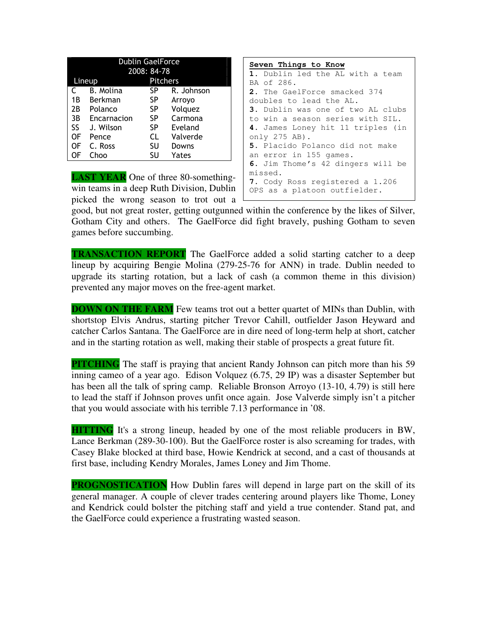| <b>Dublin GaelForce</b> |             |                 |            |
|-------------------------|-------------|-----------------|------------|
|                         |             | 2008: 84-78     |            |
|                         | Lineup      | <b>Pitchers</b> |            |
| C                       | B. Molina   | SP              | R. Johnson |
| 1B                      | Berkman     | SP              | Arroyo     |
| 2Β                      | Polanco     | SP              | Volquez    |
| 3B                      | Encarnacion | SP              | Carmona    |
| SS                      | J. Wilson   | SP              | Eveland    |
| OF                      | Pence       | CL              | Valverde   |
| OF                      | C. Ross     | SU              | Downs      |
| NF                      | Choo        | SU              | Yates      |

**LAST YEAR** One of three 80-somethingwin teams in a deep Ruth Division, Dublin picked the wrong season to trot out a

```
Seven Things to Know
1. Dublin led the AL with a team 
BA of 286. 
2. The GaelForce smacked 374 
doubles to lead the AL. 
3. Dublin was one of two AL clubs 
to win a season series with SIL. 
4. James Loney hit 11 triples (in 
only 275 AB). 
5. Placido Polanco did not make 
an error in 155 games. 
6. Jim Thome's 42 dingers will be 
missed. 
7. Cody Ross registered a 1.206 
OPS as a platoon outfielder.
```
good, but not great roster, getting outgunned within the conference by the likes of Silver, Gotham City and others. The GaelForce did fight bravely, pushing Gotham to seven games before succumbing.

**TRANSACTION REPORT** The GaelForce added a solid starting catcher to a deep lineup by acquiring Bengie Molina (279-25-76 for ANN) in trade. Dublin needed to upgrade its starting rotation, but a lack of cash (a common theme in this division) prevented any major moves on the free-agent market.

**DOWN ON THE FARM** Few teams trot out a better quartet of MINs than Dublin, with shortstop Elvis Andrus, starting pitcher Trevor Cahill, outfielder Jason Heyward and catcher Carlos Santana. The GaelForce are in dire need of long-term help at short, catcher and in the starting rotation as well, making their stable of prospects a great future fit.

**PITCHING** The staff is praying that ancient Randy Johnson can pitch more than his 59 inning cameo of a year ago. Edison Volquez (6.75, 29 IP) was a disaster September but has been all the talk of spring camp. Reliable Bronson Arroyo (13-10, 4.79) is still here to lead the staff if Johnson proves unfit once again. Jose Valverde simply isn't a pitcher that you would associate with his terrible 7.13 performance in '08.

**HITTING** It's a strong lineup, headed by one of the most reliable producers in BW, Lance Berkman (289-30-100). But the GaelForce roster is also screaming for trades, with Casey Blake blocked at third base, Howie Kendrick at second, and a cast of thousands at first base, including Kendry Morales, James Loney and Jim Thome.

**PROGNOSTICATION** How Dublin fares will depend in large part on the skill of its general manager. A couple of clever trades centering around players like Thome, Loney and Kendrick could bolster the pitching staff and yield a true contender. Stand pat, and the GaelForce could experience a frustrating wasted season.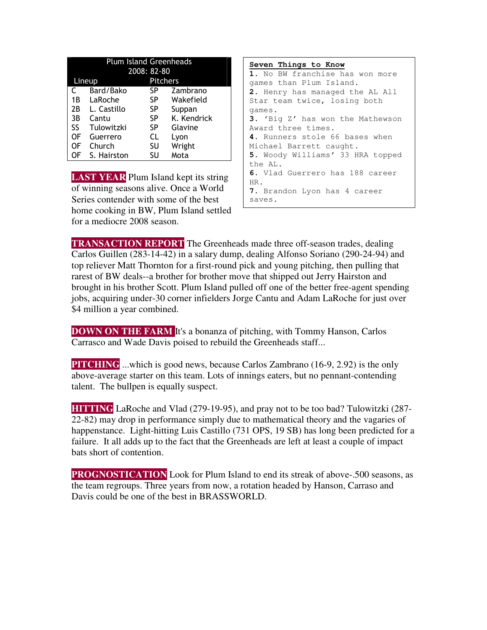|     | <b>Plum Island Greenheads</b> |                 |             |
|-----|-------------------------------|-----------------|-------------|
|     |                               | 2008: 82-80     |             |
|     | Lineup                        | <b>Pitchers</b> |             |
| C   | Bard/Bako                     | SP              | Zambrano    |
| 1B  | LaRoche                       | SP              | Wakefield   |
| 2B  | L. Castillo                   | SP              | Suppan      |
| 3B  | Cantu                         | SP              | K. Kendrick |
| SS. | Tulowitzki                    | SP              | Glavine     |
| 0F  | Guerrero                      | CL              | Lyon        |
| OF  | Church                        | SU              | Wright      |
| OF  | S. Hairston                   | SU              | Mota        |

**LAST YEAR** Plum Island kept its string of winning seasons alive. Once a World Series contender with some of the best home cooking in BW, Plum Island settled for a mediocre 2008 season.

**Seven Things to Know 1.** No BW franchise has won more games than Plum Island. **2.** Henry has managed the AL All Star team twice, losing both games. **3.** 'Big Z' has won the Mathewson Award three times. **4.** Runners stole 66 bases when Michael Barrett caught. **5.** Woody Williams' 33 HRA topped the AL. **6.** Vlad Guerrero has 188 career HR. **7.** Brandon Lyon has 4 career saves.

**TRANSACTION REPORT** The Greenheads made three off-season trades, dealing Carlos Guillen (283-14-42) in a salary dump, dealing Alfonso Soriano (290-24-94) and top reliever Matt Thornton for a first-round pick and young pitching, then pulling that rarest of BW deals--a brother for brother move that shipped out Jerry Hairston and brought in his brother Scott. Plum Island pulled off one of the better free-agent spending jobs, acquiring under-30 corner infielders Jorge Cantu and Adam LaRoche for just over \$4 million a year combined.

**DOWN ON THE FARM** It's a bonanza of pitching, with Tommy Hanson, Carlos Carrasco and Wade Davis poised to rebuild the Greenheads staff...

**PITCHING** ...which is good news, because Carlos Zambrano (16-9, 2.92) is the only above-average starter on this team. Lots of innings eaters, but no pennant-contending talent. The bullpen is equally suspect.

**HITTING** LaRoche and Vlad (279-19-95), and pray not to be too bad? Tulowitzki (287- 22-82) may drop in performance simply due to mathematical theory and the vagaries of happenstance. Light-hitting Luis Castillo (731 OPS, 19 SB) has long been predicted for a failure. It all adds up to the fact that the Greenheads are left at least a couple of impact bats short of contention.

**PROGNOSTICATION** Look for Plum Island to end its streak of above-.500 seasons, as the team regroups. Three years from now, a rotation headed by Hanson, Carraso and Davis could be one of the best in BRASSWORLD.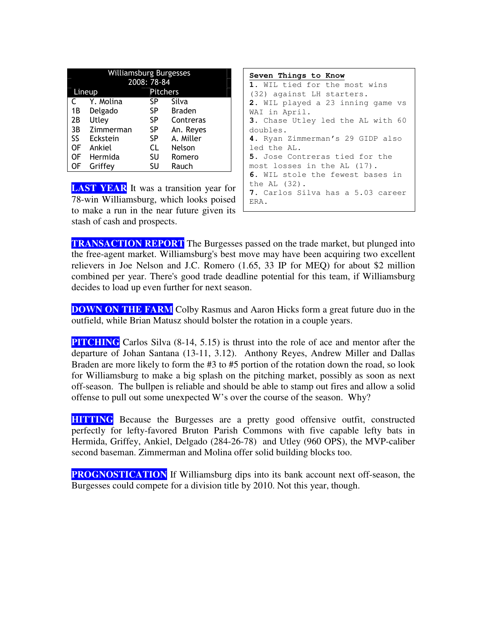| <b>Williamsburg Burgesses</b> |           |                 |               |
|-------------------------------|-----------|-----------------|---------------|
|                               |           | 2008: 78-84     |               |
|                               | Lineup    | <b>Pitchers</b> |               |
|                               | Y. Molina | SP              | Silva         |
| 1B                            | Delgado   | SP              | <b>Braden</b> |
| 2Β                            | Utley     | SP              | Contreras     |
| 3B                            | Zimmerman | <b>SP</b>       | An. Reyes     |
| SS                            | Eckstein  | SP              | A. Miller     |
| OF                            | Ankiel    | CL              | Nelson        |
| OF                            | Hermida   | SU              | Romero        |
| OF                            | Griffey   | SU              | Rauch         |
|                               |           |                 |               |

**LAST YEAR** It was a transition year for 78-win Williamsburg, which looks poised to make a run in the near future given its stash of cash and prospects.



**TRANSACTION REPORT** The Burgesses passed on the trade market, but plunged into the free-agent market. Williamsburg's best move may have been acquiring two excellent relievers in Joe Nelson and J.C. Romero (1.65, 33 IP for MEQ) for about \$2 million combined per year. There's good trade deadline potential for this team, if Williamsburg decides to load up even further for next season.

**DOWN ON THE FARM** Colby Rasmus and Aaron Hicks form a great future duo in the outfield, while Brian Matusz should bolster the rotation in a couple years.

**PITCHING** Carlos Silva (8-14, 5.15) is thrust into the role of ace and mentor after the departure of Johan Santana (13-11, 3.12). Anthony Reyes, Andrew Miller and Dallas Braden are more likely to form the #3 to #5 portion of the rotation down the road, so look for Williamsburg to make a big splash on the pitching market, possibly as soon as next off-season. The bullpen is reliable and should be able to stamp out fires and allow a solid offense to pull out some unexpected W's over the course of the season. Why?

**HITTING** Because the Burgesses are a pretty good offensive outfit, constructed perfectly for lefty-favored Bruton Parish Commons with five capable lefty bats in Hermida, Griffey, Ankiel, Delgado (284-26-78) and Utley (960 OPS), the MVP-caliber second baseman. Zimmerman and Molina offer solid building blocks too.

**PROGNOSTICATION** If Williamsburg dips into its bank account next off-season, the Burgesses could compete for a division title by 2010. Not this year, though.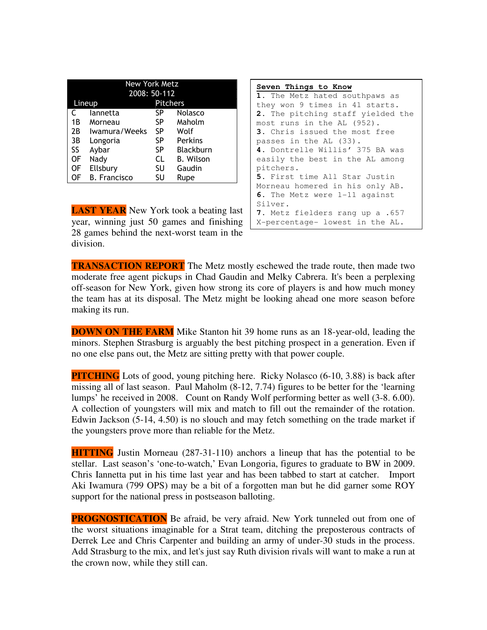| New York Metz |                     |                 |                  |
|---------------|---------------------|-----------------|------------------|
|               | 2008: 50-112        |                 |                  |
|               | Lineup              | <b>Pitchers</b> |                  |
| C             | lannetta            | SP              | Nolasco          |
| 1Β            | Morneau             | SP              | Maholm           |
| 2В            | Iwamura/Weeks       | SP              | Wolf             |
| 3B            | Longoria            | SP              | <b>Perkins</b>   |
| SS            | Aybar               | SP              | <b>Blackburn</b> |
| 0F            | Nady                | CL              | <b>B.</b> Wilson |
| 0F            | Ellsbury            | SU              | Gaudin           |
| OF            | <b>B.</b> Francisco | SU              | Rupe             |

**LAST YEAR** New York took a beating last year, winning just 50 games and finishing 28 games behind the next-worst team in the division.

```
Seven Things to Know
1. The Metz hated southpaws as 
they won 9 times in 41 starts. 
2. The pitching staff yielded the 
most runs in the AL (952). 
3. Chris issued the most free 
passes in the AL (33). 
4. Dontrelle Willis' 375 BA was 
easily the best in the AL among 
pitchers. 
5. First time All Star Justin 
Morneau homered in his only AB. 
6. The Metz were 1-11 against 
Silver. 
7. Metz fielders rang up a .657 
X-percentage- lowest in the AL.
```
**TRANSACTION REPORT** The Metz mostly eschewed the trade route, then made two moderate free agent pickups in Chad Gaudin and Melky Cabrera. It's been a perplexing off-season for New York, given how strong its core of players is and how much money the team has at its disposal. The Metz might be looking ahead one more season before making its run.

**DOWN ON THE FARM** Mike Stanton hit 39 home runs as an 18-year-old, leading the minors. Stephen Strasburg is arguably the best pitching prospect in a generation. Even if no one else pans out, the Metz are sitting pretty with that power couple.

**PITCHING** Lots of good, young pitching here. Ricky Nolasco (6-10, 3.88) is back after missing all of last season. Paul Maholm (8-12, 7.74) figures to be better for the 'learning lumps' he received in 2008. Count on Randy Wolf performing better as well (3-8. 6.00). A collection of youngsters will mix and match to fill out the remainder of the rotation. Edwin Jackson (5-14, 4.50) is no slouch and may fetch something on the trade market if the youngsters prove more than reliable for the Metz.

**HITTING** Justin Morneau (287-31-110) anchors a lineup that has the potential to be stellar. Last season's 'one-to-watch,' Evan Longoria, figures to graduate to BW in 2009. Chris Iannetta put in his time last year and has been tabbed to start at catcher. Import Aki Iwamura (799 OPS) may be a bit of a forgotten man but he did garner some ROY support for the national press in postseason balloting.

**PROGNOSTICATION** Be afraid, be very afraid. New York tunneled out from one of the worst situations imaginable for a Strat team, ditching the preposterous contracts of Derrek Lee and Chris Carpenter and building an army of under-30 studs in the process. Add Strasburg to the mix, and let's just say Ruth division rivals will want to make a run at the crown now, while they still can.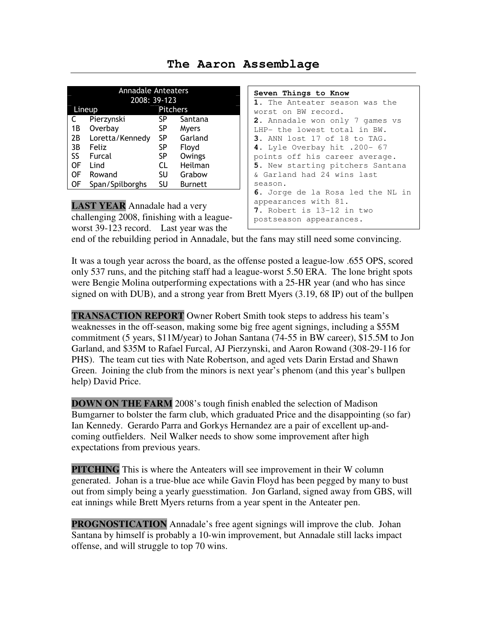### **The Aaron Assemblage**

|    | <b>Annadale Anteaters</b><br>2008: 39-123 |                 |         |
|----|-------------------------------------------|-----------------|---------|
|    | Lineup                                    | <b>Pitchers</b> |         |
|    | Pierzynski                                | SP              | Santana |
| 1B | Overbay                                   | SP              | Myers   |
| 2B | Loretta/Kennedy                           | SP              | Garland |
| 3B | Feliz                                     | SP              | Floyd   |
| SS | Furcal                                    | SP              | Owings  |
| OF | Lind                                      | CL              | Heilman |
| OF | Rowand                                    | SU              | Grabow  |
| ΟF | Span/Spilborghs                           | SU              | Burnett |

**LAST YEAR** Annadale had a very challenging 2008, finishing with a leagueworst 39-123 record. Last year was the

### **Seven Things to Know 1.** The Anteater season was the worst on BW record. **2.** Annadale won only 7 games vs LHP- the lowest total in BW. **3.** ANN lost 17 of 18 to TAG. **4.** Lyle Overbay hit .200- 67 points off his career average. **5.** New starting pitchers Santana & Garland had 24 wins last season. **6.** Jorge de la Rosa led the NL in appearances with 81. **7.** Robert is 13-12 in two postseason appearances.

end of the rebuilding period in Annadale, but the fans may still need some convincing.

It was a tough year across the board, as the offense posted a league-low .655 OPS, scored only 537 runs, and the pitching staff had a league-worst 5.50 ERA. The lone bright spots were Bengie Molina outperforming expectations with a 25-HR year (and who has since signed on with DUB), and a strong year from Brett Myers (3.19, 68 IP) out of the bullpen

**TRANSACTION REPORT** Owner Robert Smith took steps to address his team's weaknesses in the off-season, making some big free agent signings, including a \$55M commitment (5 years, \$11M/year) to Johan Santana (74-55 in BW career), \$15.5M to Jon Garland, and \$35M to Rafael Furcal, AJ Pierzynski, and Aaron Rowand (308-29-116 for PHS). The team cut ties with Nate Robertson, and aged vets Darin Erstad and Shawn Green. Joining the club from the minors is next year's phenom (and this year's bullpen help) David Price.

**DOWN ON THE FARM** 2008's tough finish enabled the selection of Madison Bumgarner to bolster the farm club, which graduated Price and the disappointing (so far) Ian Kennedy. Gerardo Parra and Gorkys Hernandez are a pair of excellent up-andcoming outfielders. Neil Walker needs to show some improvement after high expectations from previous years.

**PITCHING** This is where the Anteaters will see improvement in their W column generated. Johan is a true-blue ace while Gavin Floyd has been pegged by many to bust out from simply being a yearly guesstimation. Jon Garland, signed away from GBS, will eat innings while Brett Myers returns from a year spent in the Anteater pen.

**PROGNOSTICATION** Annadale's free agent signings will improve the club. Johan Santana by himself is probably a 10-win improvement, but Annadale still lacks impact offense, and will struggle to top 70 wins.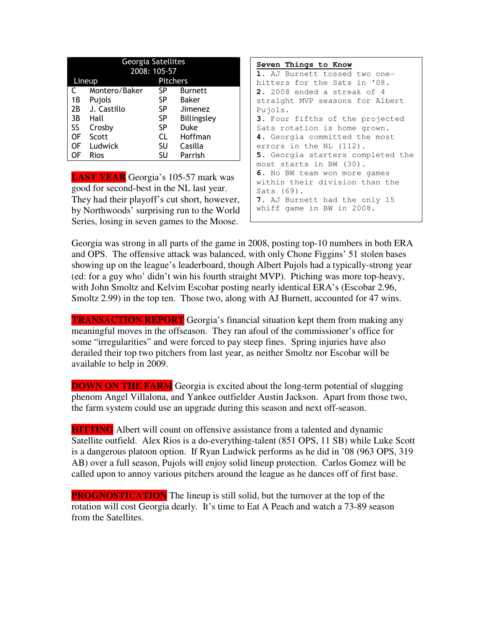| Georgia Satellites |               |                 |                |
|--------------------|---------------|-----------------|----------------|
|                    |               | 2008: 105-57    |                |
|                    | Lineup        | <b>Pitchers</b> |                |
| C                  | Montero/Baker | SP              | <b>Burnett</b> |
| 1B                 | Pujols        | SP              | <b>Baker</b>   |
| 2B                 | J. Castillo   | SP              | Jimenez        |
| 3B                 | Hall          | SP              | Billingsley    |
| SS                 | Crosby        | SP              | Duke           |
| OF                 | Scott         | CL              | Hoffman        |
| OF                 | Ludwick       | SU              | Casilla        |
| OF                 | <b>Rios</b>   | SU              | Parrish        |

**LAST YEAR** Georgia's 105-57 mark was good for second-best in the NL last year. They had their playoff's cut short, however, by Northwoods' surprising run to the World Series, losing in seven games to the Moose.

**Seven Things to Know 1.** AJ Burnett tossed two onehitters for the Sats in '08. **2.** 2008 ended a streak of 4 straight MVP seasons for Albert Pujols. **3.** Four fifths of the projected Sats rotation is home grown. **4.** Georgia committed the most errors in the NL (112). **5.** Georgia starters completed the most starts in BW (30). **6.** No BW team won more games within their division than the Sats (69). **7.** AJ Burnett had the only 15 whiff game in BW in 2008.

Georgia was strong in all parts of the game in 2008, posting top-10 numbers in both ERA and OPS. The offensive attack was balanced, with only Chone Figgins' 51 stolen bases showing up on the league's leaderboard, though Albert Pujols had a typically-strong year (ed: for a guy who' didn't win his fourth straight MVP). Ptiching was more top-heavy, with John Smoltz and Kelvim Escobar posting nearly identical ERA's (Escobar 2.96, Smoltz 2.99) in the top ten. Those two, along with AJ Burnett, accounted for 47 wins.

**TRANSACTION REPORT** Georgia's financial situation kept them from making any meaningful moves in the offseason. They ran afoul of the commissioner's office for some "irregularities" and were forced to pay steep fines. Spring injuries have also derailed their top two pitchers from last year, as neither Smoltz nor Escobar will be available to help in 2009.

**DOWN ON THE FARM** Georgia is excited about the long-term potential of slugging phenom Angel Villalona, and Yankee outfielder Austin Jackson. Apart from those two, the farm system could use an upgrade during this season and next off-season.

**HITTING** Albert will count on offensive assistance from a talented and dynamic Satellite outfield. Alex Rios is a do-everything-talent (851 OPS, 11 SB) while Luke Scott is a dangerous platoon option. If Ryan Ludwick performs as he did in '08 (963 OPS, 319 AB) over a full season, Pujols will enjoy solid lineup protection. Carlos Gomez will be called upon to annoy various pitchers around the league as he dances off of first base.

**PROGNOSTICATION** The lineup is still solid, but the turnover at the top of the rotation will cost Georgia dearly. It's time to Eat A Peach and watch a 73-89 season from the Satellites.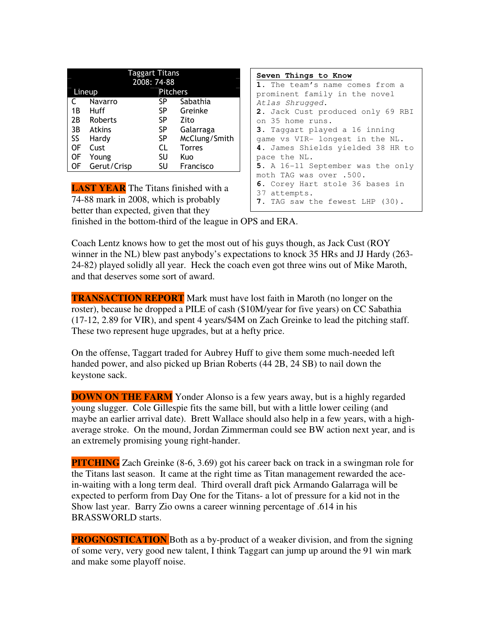|    |               | <b>Taggart Titans</b> |               |
|----|---------------|-----------------------|---------------|
|    |               | 2008: 74-88           |               |
|    | Lineup        | <b>Pitchers</b>       |               |
|    | Navarro       | SP                    | Sabathia      |
| 1B | Huff          | SP                    | Greinke       |
| 2Β | Roberts       | SP                    | Zito          |
| 3B | <b>Atkins</b> | SP                    | Galarraga     |
| SS | Hardy         | SP                    | McClung/Smith |
| OF | Cust          | CL                    | <b>Torres</b> |
| OF | Young         | SU                    | Kuo           |
| ΟF | Gerut/Crisp   | SU                    | Francisco     |

**LAST YEAR** The Titans finished with a 74-88 mark in 2008, which is probably better than expected, given that they

| Seven Things to Know              |
|-----------------------------------|
| 1. The team's name comes from a   |
| prominent family in the novel     |
| Atlas Shrugged.                   |
| 2. Jack Cust produced only 69 RBI |
| on 35 home runs.                  |
| 3. Taggart played a 16 inning     |
| game vs VIR- longest in the NL.   |
| 4. James Shields yielded 38 HR to |
| pace the NL.                      |
| 5. A 16-11 September was the only |
| moth TAG was over .500.           |
| 6. Corey Hart stole 36 bases in   |
| 37 attempts.                      |
| 7. TAG saw the fewest LHP (30).   |

finished in the bottom-third of the league in OPS and ERA.

Coach Lentz knows how to get the most out of his guys though, as Jack Cust (ROY winner in the NL) blew past anybody's expectations to knock 35 HRs and JJ Hardy (263- 24-82) played solidly all year. Heck the coach even got three wins out of Mike Maroth, and that deserves some sort of award.

**TRANSACTION REPORT** Mark must have lost faith in Maroth (no longer on the roster), because he dropped a PILE of cash (\$10M/year for five years) on CC Sabathia (17-12, 2.89 for VIR), and spent 4 years/\$4M on Zach Greinke to lead the pitching staff. These two represent huge upgrades, but at a hefty price.

On the offense, Taggart traded for Aubrey Huff to give them some much-needed left handed power, and also picked up Brian Roberts (44 2B, 24 SB) to nail down the keystone sack.

**DOWN ON THE FARM** Yonder Alonso is a few years away, but is a highly regarded young slugger. Cole Gillespie fits the same bill, but with a little lower ceiling (and maybe an earlier arrival date). Brett Wallace should also help in a few years, with a highaverage stroke. On the mound, Jordan Zimmerman could see BW action next year, and is an extremely promising young right-hander.

**PITCHING** Zach Greinke (8-6, 3.69) got his career back on track in a swingman role for the Titans last season. It came at the right time as Titan management rewarded the acein-waiting with a long term deal. Third overall draft pick Armando Galarraga will be expected to perform from Day One for the Titans- a lot of pressure for a kid not in the Show last year. Barry Zio owns a career winning percentage of .614 in his BRASSWORLD starts.

**PROGNOSTICATION** Both as a by-product of a weaker division, and from the signing of some very, very good new talent, I think Taggart can jump up around the 91 win mark and make some playoff noise.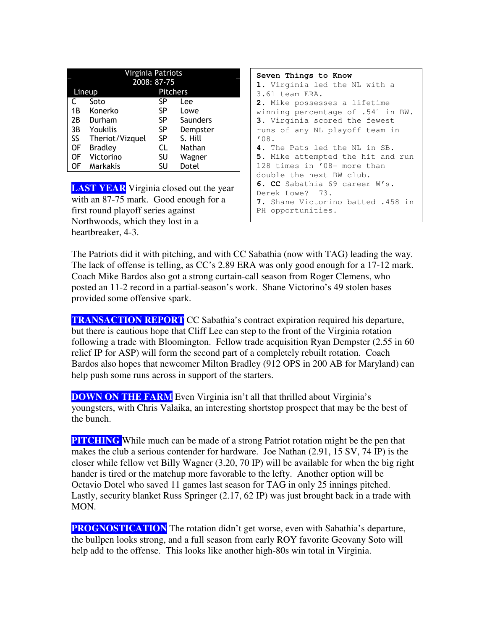| Virginia Patriots |                 |                 |          |  |
|-------------------|-----------------|-----------------|----------|--|
|                   |                 | 2008: 87-75     |          |  |
|                   | Lineup          | <b>Pitchers</b> |          |  |
|                   | Soto            | SP              | Lee      |  |
| 1Β                | Konerko         | SP              | Lowe     |  |
| 2Β                | Durham          | SP              | Saunders |  |
| 3B                | Youkilis        | SP              | Dempster |  |
| SS                | Theriot/Vizquel | SP              | S. Hill  |  |
| 0F                | <b>Bradley</b>  | CL              | Nathan   |  |
| OF                | Victorino       | SU              | Wagner   |  |
| OF                | Markakis        | SU              | Dotel    |  |

**LAST YEAR** Virginia closed out the year with an 87-75 mark. Good enough for a first round playoff series against Northwoods, which they lost in a heartbreaker, 4-3.

**Seven Things to Know 1.** Virginia led the NL with a 3.61 team ERA. **2.** Mike possesses a lifetime winning percentage of .541 in BW. **3.** Virginia scored the fewest runs of any NL playoff team in '08. **4.** The Pats led the NL in SB. **5.** Mike attempted the hit and run 128 times in '08- more than double the next BW club. **6. CC** Sabathia 69 career W's. Derek Lowe? 73. **7.** Shane Victorino batted .458 in PH opportunities.

The Patriots did it with pitching, and with CC Sabathia (now with TAG) leading the way. The lack of offense is telling, as CC's 2.89 ERA was only good enough for a 17-12 mark. Coach Mike Bardos also got a strong curtain-call season from Roger Clemens, who posted an 11-2 record in a partial-season's work. Shane Victorino's 49 stolen bases provided some offensive spark.

**TRANSACTION REPORT** CC Sabathia's contract expiration required his departure, but there is cautious hope that Cliff Lee can step to the front of the Virginia rotation following a trade with Bloomington. Fellow trade acquisition Ryan Dempster (2.55 in 60 relief IP for ASP) will form the second part of a completely rebuilt rotation. Coach Bardos also hopes that newcomer Milton Bradley (912 OPS in 200 AB for Maryland) can help push some runs across in support of the starters.

**DOWN ON THE FARM** Even Virginia isn't all that thrilled about Virginia's youngsters, with Chris Valaika, an interesting shortstop prospect that may be the best of the bunch.

**PITCHING** While much can be made of a strong Patriot rotation might be the pen that makes the club a serious contender for hardware. Joe Nathan (2.91, 15 SV, 74 IP) is the closer while fellow vet Billy Wagner (3.20, 70 IP) will be available for when the big right hander is tired or the matchup more favorable to the lefty. Another option will be Octavio Dotel who saved 11 games last season for TAG in only 25 innings pitched. Lastly, security blanket Russ Springer (2.17, 62 IP) was just brought back in a trade with MON.

**PROGNOSTICATION** The rotation didn't get worse, even with Sabathia's departure, the bullpen looks strong, and a full season from early ROY favorite Geovany Soto will help add to the offense. This looks like another high-80s win total in Virginia.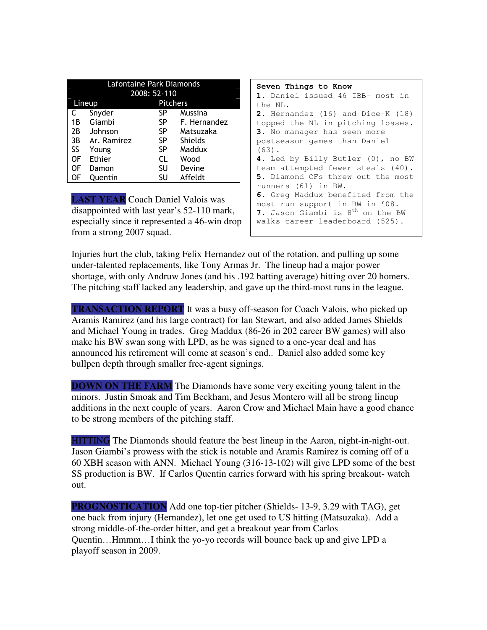| Lafontaine Park Diamonds |               |                 |                |
|--------------------------|---------------|-----------------|----------------|
|                          |               | 2008: 52-110    |                |
|                          | Lineup        | <b>Pitchers</b> |                |
|                          | Snyder        | SP              | Mussina        |
| 1B                       | Giambi        | SP.             | F. Hernandez   |
| 2Β                       | Johnson       | SP              | Matsuzaka      |
| 3B                       | Ar. Ramirez   | SP              | <b>Shields</b> |
| SS                       | Young         | <b>SP</b>       | Maddux         |
| OF                       | <b>Ethier</b> | CL              | Wood           |
| OF                       | Damon         | SU              | Devine         |
| OF                       | Ouentin       | SU              | Affeldt        |

**LAST YEAR** Coach Daniel Valois was disappointed with last year's 52-110 mark, especially since it represented a 46-win drop from a strong 2007 squad.

| Seven Things to Know                         |
|----------------------------------------------|
| 1. Daniel issued 46 IBB- most in             |
| the NL.                                      |
| 2. Hernandez (16) and Dice-K (18)            |
| topped the NL in pitching losses.            |
| 3. No manager has seen more                  |
| postseason games than Daniel                 |
| $(63)$ .                                     |
| 4. Led by Billy Butler (0), no BW            |
| team attempted fewer steals (40).            |
| 5. Diamond OFs threw out the most            |
| runners (61) in BW.                          |
| 6. Greg Maddux benefited from the            |
| most run support in BW in '08.               |
| 7. Jason Giambi is 8 <sup>th</sup> on the BW |
| walks career leaderboard (525).              |
|                                              |

Injuries hurt the club, taking Felix Hernandez out of the rotation, and pulling up some under-talented replacements, like Tony Armas Jr. The lineup had a major power shortage, with only Andruw Jones (and his .192 batting average) hitting over 20 homers. The pitching staff lacked any leadership, and gave up the third-most runs in the league.

**TRANSACTION REPORT** It was a busy off-season for Coach Valois, who picked up Aramis Ramirez (and his large contract) for Ian Stewart, and also added James Shields and Michael Young in trades. Greg Maddux (86-26 in 202 career BW games) will also make his BW swan song with LPD, as he was signed to a one-year deal and has announced his retirement will come at season's end.. Daniel also added some key bullpen depth through smaller free-agent signings.

**DOWN ON THE FARM** The Diamonds have some very exciting young talent in the minors. Justin Smoak and Tim Beckham, and Jesus Montero will all be strong lineup additions in the next couple of years. Aaron Crow and Michael Main have a good chance to be strong members of the pitching staff.

HITTING The Diamonds should feature the best lineup in the Aaron, night-in-night-out. Jason Giambi's prowess with the stick is notable and Aramis Ramirez is coming off of a 60 XBH season with ANN. Michael Young (316-13-102) will give LPD some of the best SS production is BW. If Carlos Quentin carries forward with his spring breakout- watch out.

**PROGNOSTICATION** Add one top-tier pitcher (Shields- 13-9, 3.29 with TAG), get one back from injury (Hernandez), let one get used to US hitting (Matsuzaka). Add a strong middle-of-the-order hitter, and get a breakout year from Carlos Quentin…Hmmm…I think the yo-yo records will bounce back up and give LPD a playoff season in 2009.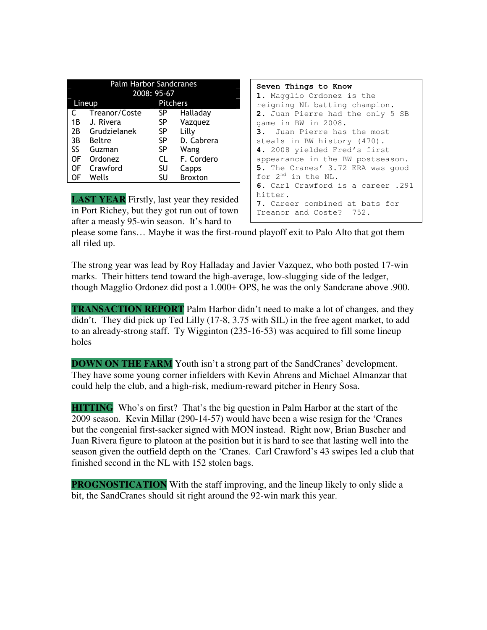| <b>Palm Harbor Sandcranes</b> |               |    |                |  |
|-------------------------------|---------------|----|----------------|--|
|                               | 2008: 95-67   |    |                |  |
| <b>Pitchers</b><br>Lineup     |               |    |                |  |
|                               | Treanor/Coste | SP | Halladay       |  |
| 1B                            | J. Rivera     | SP | Vazquez        |  |
| 2B                            | Grudzielanek  | SP | Lilly          |  |
| 3B                            | Beltre        | SP | D. Cabrera     |  |
| SS                            | Guzman        | SP | Wang           |  |
| 0F                            | Ordonez       | CL | F. Cordero     |  |
| OF                            | Crawford      | SU | Capps          |  |
| OF                            | Wells         | SU | <b>Broxton</b> |  |

**LAST YEAR** Firstly, last year they resided in Port Richey, but they got run out of town after a measly 95-win season. It's hard to

**Seven Things to Know 1.** Magglio Ordonez is the reigning NL batting champion. **2.** Juan Pierre had the only 5 SB game in BW in 2008. **3.** Juan Pierre has the most steals in BW history (470). **4.** 2008 yielded Fred's first appearance in the BW postseason. **5.** The Cranes' 3.72 ERA was good for 2nd in the NL. **6.** Carl Crawford is a career .291 hitter. **7.** Career combined at bats for Treanor and Coste? 752.

please some fans… Maybe it was the first-round playoff exit to Palo Alto that got them all riled up.

The strong year was lead by Roy Halladay and Javier Vazquez, who both posted 17-win marks. Their hitters tend toward the high-average, low-slugging side of the ledger, though Magglio Ordonez did post a 1.000+ OPS, he was the only Sandcrane above .900.

**TRANSACTION REPORT** Palm Harbor didn't need to make a lot of changes, and they didn't. They did pick up Ted Lilly (17-8, 3.75 with SIL) in the free agent market, to add to an already-strong staff. Ty Wigginton (235-16-53) was acquired to fill some lineup holes

**DOWN ON THE FARM** Youth isn't a strong part of the SandCranes' development. They have some young corner infielders with Kevin Ahrens and Michael Almanzar that could help the club, and a high-risk, medium-reward pitcher in Henry Sosa.

**HITTING** Who's on first? That's the big question in Palm Harbor at the start of the 2009 season. Kevin Millar (290-14-57) would have been a wise resign for the 'Cranes but the congenial first-sacker signed with MON instead. Right now, Brian Buscher and Juan Rivera figure to platoon at the position but it is hard to see that lasting well into the season given the outfield depth on the 'Cranes. Carl Crawford's 43 swipes led a club that finished second in the NL with 152 stolen bags.

**PROGNOSTICATION** With the staff improving, and the lineup likely to only slide a bit, the SandCranes should sit right around the 92-win mark this year.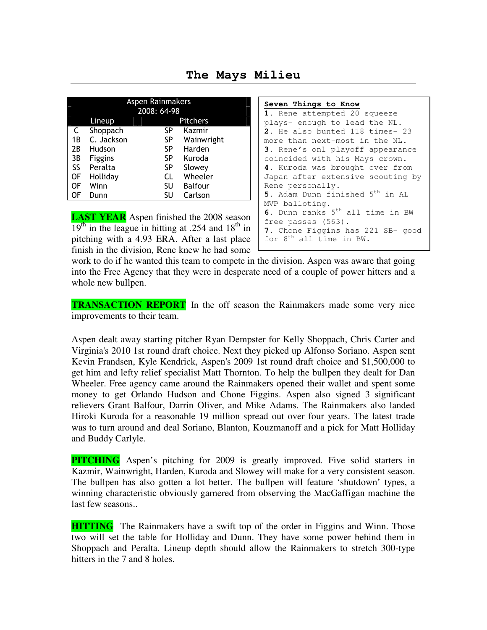**The Mays Milieu** 

| Aspen Rainmakers<br>2008: 64-98 |                    |    |            |
|---------------------------------|--------------------|----|------------|
|                                 | Pitchers<br>Lineup |    |            |
| C                               | Shoppach           | SP | Kazmir     |
| 1Β                              | C. Jackson         | SP | Wainwright |
| 2B                              | Hudson             | SP | Harden     |
| 3B                              | <b>Figgins</b>     | SP | Kuroda     |
| SS.                             | Peralta            | SP | Slowey     |
| 0F                              | Holliday           | CL | Wheeler    |
| ΟF                              | Winn               | SU | Balfour    |
| OF                              | Dunn               | SU | Carlson    |

**LAST YEAR** Aspen finished the 2008 season  $19<sup>th</sup>$  in the league in hitting at .254 and  $18<sup>th</sup>$  in pitching with a 4.93 ERA. After a last place finish in the division, Rene knew he had some

| Seven Things to Know                         |
|----------------------------------------------|
| 1. Rene attempted 20 squeeze                 |
| plays- enough to lead the NL.                |
| 2. He also bunted 118 times- 23              |
| more than next-most in the NL.               |
| <b>3.</b> Rene's onl playoff appearance      |
| coincided with his Mays crown.               |
| 4. Kuroda was brought over from              |
| Japan after extensive scouting by            |
| Rene personally.                             |
| 5. Adam Dunn finished 5 <sup>th</sup> in AL  |
| MVP balloting.                               |
| 6. Dunn ranks 5 <sup>th</sup> all time in BW |
| free passes (563).                           |
| 7. Chone Figgins has 221 SB- good            |
| for 8 <sup>th</sup> all time in BW.          |

work to do if he wanted this team to compete in the division. Aspen was aware that going into the Free Agency that they were in desperate need of a couple of power hitters and a whole new bullpen.

**TRANSACTION REPORT** In the off season the Rainmakers made some very nice improvements to their team.

Aspen dealt away starting pitcher Ryan Dempster for Kelly Shoppach, Chris Carter and Virginia's 2010 1st round draft choice. Next they picked up Alfonso Soriano. Aspen sent Kevin Frandsen, Kyle Kendrick, Aspen's 2009 1st round draft choice and \$1,500,000 to get him and lefty relief specialist Matt Thornton. To help the bullpen they dealt for Dan Wheeler. Free agency came around the Rainmakers opened their wallet and spent some money to get Orlando Hudson and Chone Figgins. Aspen also signed 3 significant relievers Grant Balfour, Darrin Oliver, and Mike Adams. The Rainmakers also landed Hiroki Kuroda for a reasonable 19 million spread out over four years. The latest trade was to turn around and deal Soriano, Blanton, Kouzmanoff and a pick for Matt Holliday and Buddy Carlyle.

**PITCHING** Aspen's pitching for 2009 is greatly improved. Five solid starters in Kazmir, Wainwright, Harden, Kuroda and Slowey will make for a very consistent season. The bullpen has also gotten a lot better. The bullpen will feature 'shutdown' types, a winning characteristic obviously garnered from observing the MacGaffigan machine the last few seasons..

**HITTING** The Rainmakers have a swift top of the order in Figgins and Winn. Those two will set the table for Holliday and Dunn. They have some power behind them in Shoppach and Peralta. Lineup depth should allow the Rainmakers to stretch 300-type hitters in the 7 and 8 holes.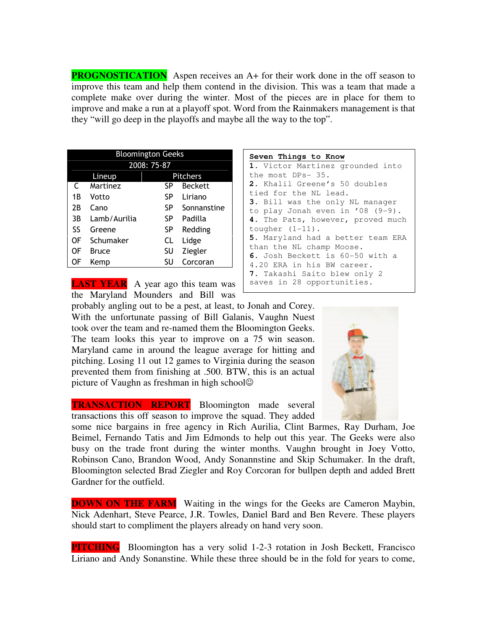**PROGNOSTICATION** Aspen receives an A+ for their work done in the off season to improve this team and help them contend in the division. This was a team that made a complete make over during the winter. Most of the pieces are in place for them to improve and make a run at a playoff spot. Word from the Rainmakers management is that they "will go deep in the playoffs and maybe all the way to the top".

| <b>Bloomington Geeks</b> |              |    |                 |
|--------------------------|--------------|----|-----------------|
| 2008: 75-87              |              |    |                 |
|                          | Lineup       |    | <b>Pitchers</b> |
| C                        | Martinez     | SP | <b>Beckett</b>  |
| 1B                       | Votto        | SP | Liriano         |
| 2B                       | Cano         | SP | Sonnanstine     |
| 3B                       | Lamb/Aurilia | SP | Padilla         |
| SS                       | Greene       | SP | Redding         |
| OF                       | Schumaker    | CL | Lidge           |
| OF                       | <b>Bruce</b> | SU | Ziegler         |
| OF                       | Kemp         | SU | Corcoran        |

**LAST YEAR** A year ago this team was the Maryland Mounders and Bill was

probably angling out to be a pest, at least, to Jonah and Corey. With the unfortunate passing of Bill Galanis, Vaughn Nuest took over the team and re-named them the Bloomington Geeks. The team looks this year to improve on a 75 win season. Maryland came in around the league average for hitting and pitching. Losing 11 out 12 games to Virginia during the season prevented them from finishing at .500. BTW, this is an actual picture of Vaughn as freshman in high school $\odot$ 

**TRANSACTION REPORT** Bloomington made several transactions this off season to improve the squad. They added

some nice bargains in free agency in Rich Aurilia, Clint Barmes, Ray Durham, Joe Beimel, Fernando Tatis and Jim Edmonds to help out this year. The Geeks were also busy on the trade front during the winter months. Vaughn brought in Joey Votto, Robinson Cano, Brandon Wood, Andy Sonannstine and Skip Schumaker. In the draft, Bloomington selected Brad Ziegler and Roy Corcoran for bullpen depth and added Brett Gardner for the outfield.

**DOWN ON THE FARM** Waiting in the wings for the Geeks are Cameron Maybin, Nick Adenhart, Steve Pearce, J.R. Towles, Daniel Bard and Ben Revere. These players should start to compliment the players already on hand very soon.

**PITCHING** Bloomington has a very solid 1-2-3 rotation in Josh Beckett, Francisco Liriano and Andy Sonanstine. While these three should be in the fold for years to come,

**Seven Things to Know 1.** Victor Martinez grounded into the most DPs- 35. **2.** Khalil Greene's 50 doubles tied for the NL lead. **3.** Bill was the only NL manager to play Jonah even in '08 (9-9). **4.** The Pats, however, proved much tougher (1-11). **5.** Maryland had a better team ERA than the NL champ Moose. **6.** Josh Beckett is 60-50 with a 4.20 ERA in his BW career. **7.** Takashi Saito blew only 2 saves in 28 opportunities.

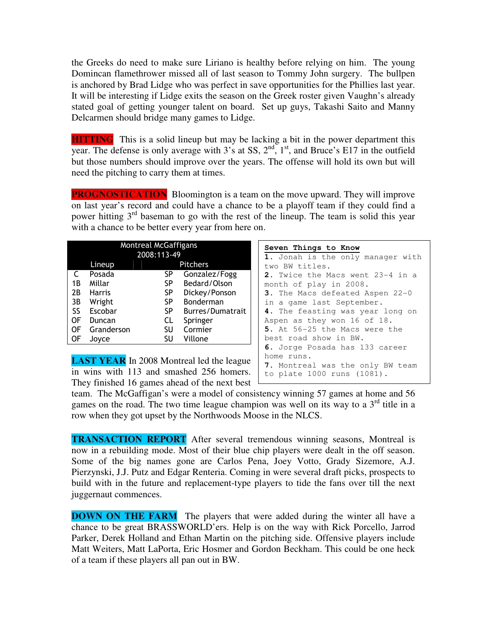the Greeks do need to make sure Liriano is healthy before relying on him. The young Domincan flamethrower missed all of last season to Tommy John surgery. The bullpen is anchored by Brad Lidge who was perfect in save opportunities for the Phillies last year. It will be interesting if Lidge exits the season on the Greek roster given Vaughn's already stated goal of getting younger talent on board. Set up guys, Takashi Saito and Manny Delcarmen should bridge many games to Lidge.

**HITTING** This is a solid lineup but may be lacking a bit in the power department this year. The defense is only average with  $3^{\circ}$ s at SS,  $2^{\text{nd}}$ ,  $1^{\text{st}}$ , and Bruce's E17 in the outfield but those numbers should improve over the years. The offense will hold its own but will need the pitching to carry them at times.

**PROGNOSTICATION** Bloomington is a team on the move upward. They will improve on last year's record and could have a chance to be a playoff team if they could find a power hitting 3<sup>rd</sup> baseman to go with the rest of the lineup. The team is solid this year with a chance to be better every year from here on.

| <b>Montreal McGaffigans</b> |               |           |                  |  |
|-----------------------------|---------------|-----------|------------------|--|
| 2008:113-49                 |               |           |                  |  |
|                             | Lineup        |           | <b>Pitchers</b>  |  |
| C                           | Posada        | SP        | Gonzalez/Fogg    |  |
| 1B                          | Millar        | <b>SP</b> | Bedard/Olson     |  |
| 2Β                          | <b>Harris</b> | <b>SP</b> | Dickey/Ponson    |  |
| 3B                          | Wright        | <b>SP</b> | Bonderman        |  |
| SS                          | Escobar       | <b>SP</b> | Burres/Dumatrait |  |
| ΟF                          | Duncan        | CL        | Springer         |  |
| OF                          | Granderson    | SU        | Cormier          |  |
| OF                          | Jovce         | SU        | Villone          |  |

**LAST YEAR** In 2008 Montreal led the league in wins with 113 and smashed 256 homers. They finished 16 games ahead of the next best

| Seven Things to Know              |
|-----------------------------------|
| 1. Jonah is the only manager with |
| two BW titles.                    |
| 2. Twice the Macs went 23-4 in a  |
| month of play in 2008.            |
| 3. The Macs defeated Aspen 22-0   |
| in a game last September.         |
| 4. The feasting was year long on  |
| Aspen as they won 16 of 18.       |
| 5. At 56-25 the Macs were the     |
| best road show in BW.             |
| 6. Jorge Posada has 133 career    |
| home runs.                        |
| 7. Montreal was the only BW team  |
| to plate 1000 runs (1081).        |
|                                   |

team. The McGaffigan's were a model of consistency winning 57 games at home and 56 games on the road. The two time league champion was well on its way to a  $3<sup>rd</sup>$  title in a row when they got upset by the Northwoods Moose in the NLCS.

**TRANSACTION REPORT** After several tremendous winning seasons, Montreal is now in a rebuilding mode. Most of their blue chip players were dealt in the off season. Some of the big names gone are Carlos Pena, Joey Votto, Grady Sizemore, A.J. Pierzynski, J.J. Putz and Edgar Renteria. Coming in were several draft picks, prospects to build with in the future and replacement-type players to tide the fans over till the next juggernaut commences.

**DOWN ON THE FARM** The players that were added during the winter all have a chance to be great BRASSWORLD'ers. Help is on the way with Rick Porcello, Jarrod Parker, Derek Holland and Ethan Martin on the pitching side. Offensive players include Matt Weiters, Matt LaPorta, Eric Hosmer and Gordon Beckham. This could be one heck of a team if these players all pan out in BW.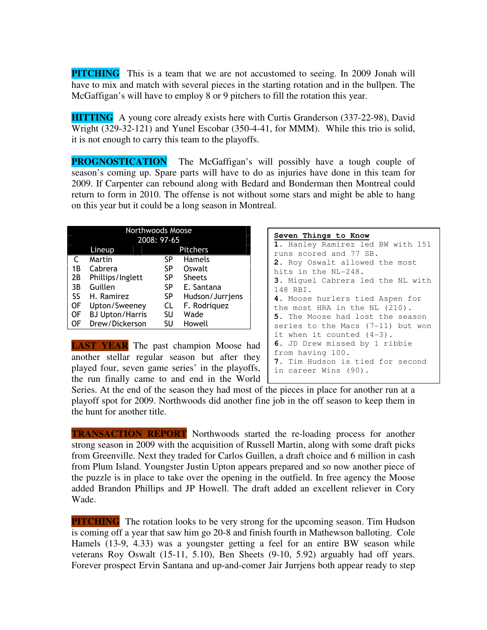**PITCHING** This is a team that we are not accustomed to seeing. In 2009 Jonah will have to mix and match with several pieces in the starting rotation and in the bullpen. The McGaffigan's will have to employ 8 or 9 pitchers to fill the rotation this year.

**HITTING** A young core already exists here with Curtis Granderson (337-22-98), David Wright (329-32-121) and Yunel Escobar (350-4-41, for MMM). While this trio is solid, it is not enough to carry this team to the playoffs.

**PROGNOSTICATION** The McGaffigan's will possibly have a tough couple of season's coming up. Spare parts will have to do as injuries have done in this team for 2009. If Carpenter can rebound along with Bedard and Bonderman then Montreal could return to form in 2010. The offense is not without some stars and might be able to hang on this year but it could be a long season in Montreal.

| Northwoods Moose |                           |    |                 |  |
|------------------|---------------------------|----|-----------------|--|
| 2008: 97-65      |                           |    |                 |  |
|                  | <b>Pitchers</b><br>Lineup |    |                 |  |
| C                | Martin                    | SP | <b>Hamels</b>   |  |
| 1Β               | Cabrera                   | SP | Oswalt          |  |
| 2В               | Phillips/Inglett          | SP | <b>Sheets</b>   |  |
| 3B               | Guillen                   | SP | E. Santana      |  |
| SS               | H. Ramirez                | SP | Hudson/Jurrjens |  |
| OF               | Upton/Sweeney             | CL | F. Rodriguez    |  |
| OF               | <b>BJ Upton/Harris</b>    | SU | Wade            |  |
| OF               | Drew/Dickerson            | SU | Howell          |  |

**LAST YEAR** The past champion Moose had another stellar regular season but after they played four, seven game series' in the playoffs, the run finally came to and end in the World

| Seven Things to Know                    |
|-----------------------------------------|
| 1. Hanley Ramirez led BW with 151       |
| runs scored and 77 SB.                  |
| 2. Roy Oswalt allowed the most          |
| hits in the NL-248.                     |
| 3. Miquel Cabrera led the NL with       |
| 148 RBI.                                |
| 4. Moose hurlers tied Aspen for         |
| the most HRA in the NL (210).           |
| <b>5.</b> The Moose had lost the season |
| series to the Macs (7-11) but won       |
| it when it counted (4-3).               |
| 6. JD Drew missed by 1 ribbie           |
| from having 100.                        |
| 7. Tim Hudson is tied for second        |
| in career Wins (90).                    |

Series. At the end of the season they had most of the pieces in place for another run at a playoff spot for 2009. Northwoods did another fine job in the off season to keep them in the hunt for another title.

**TRANSACTION REPORT** Northwoods started the re-loading process for another strong season in 2009 with the acquisition of Russell Martin, along with some draft picks from Greenville. Next they traded for Carlos Guillen, a draft choice and 6 million in cash from Plum Island. Youngster Justin Upton appears prepared and so now another piece of the puzzle is in place to take over the opening in the outfield. In free agency the Moose added Brandon Phillips and JP Howell. The draft added an excellent reliever in Cory Wade.

**PITCHING** The rotation looks to be very strong for the upcoming season. Tim Hudson is coming off a year that saw him go 20-8 and finish fourth in Mathewson balloting. Cole Hamels (13-9, 4.33) was a youngster getting a feel for an entire BW season while veterans Roy Oswalt (15-11, 5.10), Ben Sheets (9-10, 5.92) arguably had off years. Forever prospect Ervin Santana and up-and-comer Jair Jurrjens both appear ready to step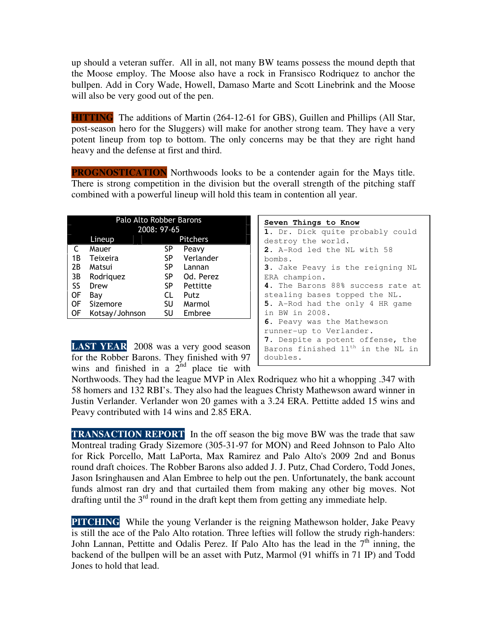up should a veteran suffer. All in all, not many BW teams possess the mound depth that the Moose employ. The Moose also have a rock in Fransisco Rodriquez to anchor the bullpen. Add in Cory Wade, Howell, Damaso Marte and Scott Linebrink and the Moose will also be very good out of the pen.

**HITTING** The additions of Martin (264-12-61 for GBS), Guillen and Phillips (All Star, post-season hero for the Sluggers) will make for another strong team. They have a very potent lineup from top to bottom. The only concerns may be that they are right hand heavy and the defense at first and third.

**PROGNOSTICATION** Northwoods looks to be a contender again for the Mays title. There is strong competition in the division but the overall strength of the pitching staff combined with a powerful lineup will hold this team in contention all year.

| Palo Alto Robber Barons |                           |    |           |  |  |
|-------------------------|---------------------------|----|-----------|--|--|
|                         | 2008: 97-65               |    |           |  |  |
|                         | <b>Pitchers</b><br>Lineup |    |           |  |  |
| C                       | Mauer                     | SP | Peavy     |  |  |
| 1 B                     | Teixeira                  | SP | Verlander |  |  |
| 2В                      | Matsui                    | SP | Lannan    |  |  |
| 3B                      | Rodriguez                 | SP | Od. Perez |  |  |
| SS                      | Drew                      | SP | Pettitte  |  |  |
| ΟF                      | Bav                       | CL | Putz      |  |  |
| OF                      | Sizemore                  | SU | Marmol    |  |  |
| ΟF                      | Kotsay/Johnson            | SU | Embree    |  |  |

**2.** A-Rod led the NL with 58 bombs. **3.** Jake Peavy is the reigning NL ERA champion. **4.** The Barons 88% success rate at stealing bases topped the NL. **5.** A-Rod had the only 4 HR game in BW in 2008. **6.** Peavy was the Mathewson runner-up to Verlander. **7.** Despite a potent offense, the Barons finished 11<sup>th</sup> in the NL in doubles.

**1.** Dr. Dick quite probably could

**Seven Things to Know**

destroy the world.

**LAST YEAR** 2008 was a very good season for the Robber Barons. They finished with 97 wins and finished in a  $2<sup>nd</sup>$  place tie with

Northwoods. They had the league MVP in Alex Rodriquez who hit a whopping .347 with 58 homers and 132 RBI's. They also had the leagues Christy Mathewson award winner in Justin Verlander. Verlander won 20 games with a 3.24 ERA. Pettitte added 15 wins and Peavy contributed with 14 wins and 2.85 ERA.

**TRANSACTION REPORT** In the off season the big move BW was the trade that saw Montreal trading Grady Sizemore (305-31-97 for MON) and Reed Johnson to Palo Alto for Rick Porcello, Matt LaPorta, Max Ramirez and Palo Alto's 2009 2nd and Bonus round draft choices. The Robber Barons also added J. J. Putz, Chad Cordero, Todd Jones, Jason Isringhausen and Alan Embree to help out the pen. Unfortunately, the bank account funds almost ran dry and that curtailed them from making any other big moves. Not drafting until the  $3<sup>rd</sup>$  round in the draft kept them from getting any immediate help.

**PITCHING** While the young Verlander is the reigning Mathewson holder, Jake Peavy is still the ace of the Palo Alto rotation. Three lefties will follow the strudy righ-handers: John Lannan, Pettitte and Odalis Perez. If Palo Alto has the lead in the  $7<sup>th</sup>$  inning, the backend of the bullpen will be an asset with Putz, Marmol (91 whiffs in 71 IP) and Todd Jones to hold that lead.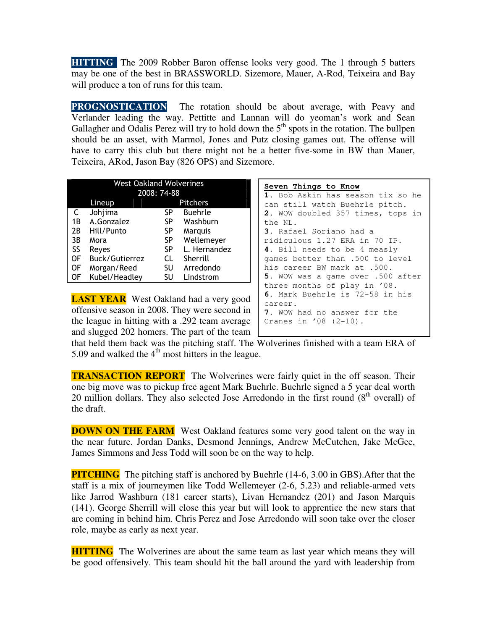**HITTING** The 2009 Robber Baron offense looks very good. The 1 through 5 batters may be one of the best in BRASSWORLD. Sizemore, Mauer, A-Rod, Teixeira and Bay will produce a ton of runs for this team.

**PROGNOSTICATION** The rotation should be about average, with Peavy and Verlander leading the way. Pettitte and Lannan will do yeoman's work and Sean Gallagher and Odalis Perez will try to hold down the  $5<sup>th</sup>$  spots in the rotation. The bullpen should be an asset, with Marmol, Jones and Putz closing games out. The offense will have to carry this club but there might not be a better five-some in BW than Mauer, Teixeira, ARod, Jason Bay (826 OPS) and Sizemore.

| <b>West Oakland Wolverines</b> |                       |           |                |
|--------------------------------|-----------------------|-----------|----------------|
|                                | 2008: 74-88           |           |                |
|                                | Pitchers<br>Lineup    |           |                |
| C                              | Johjima               | SP        | <b>Buehrle</b> |
| 1B                             | A.Gonzalez            | SP        | Washburn       |
| 2B                             | Hill/Punto            | <b>SP</b> | Marquis        |
| 3B                             | Mora                  | SP        | Wellemeyer     |
| SS                             | Reyes                 | <b>SP</b> | L. Hernandez   |
| OF                             | <b>Buck/Gutierrez</b> | CL        | Sherrill       |
| OF                             | Morgan/Reed           | SU        | Arredondo      |
| ΟF                             | Kubel/Headley         | SU        | Lindstrom      |

**LAST YEAR** West Oakland had a very good offensive season in 2008. They were second in the league in hitting with a .292 team average and slugged 202 homers. The part of the team

| Seven Things to Know |  |
|----------------------|--|
|----------------------|--|

**1.** Bob Askin has season tix so he can still watch Buehrle pitch. **2.** WOW doubled 357 times, tops in the NL. **3.** Rafael Soriano had a ridiculous 1.27 ERA in 70 IP. **4.** Bill needs to be 4 measly games better than .500 to level his career BW mark at .500. **5.** WOW was a game over .500 after three months of play in '08. **6.** Mark Buehrle is 72-58 in his career. **7.** WOW had no answer for the Cranes in '08 (2-10).

that held them back was the pitching staff. The Wolverines finished with a team ERA of 5.09 and walked the  $4<sup>th</sup>$  most hitters in the league.

**TRANSACTION REPORT** The Wolverines were fairly quiet in the off season. Their one big move was to pickup free agent Mark Buehrle. Buehrle signed a 5 year deal worth 20 million dollars. They also selected Jose Arredondo in the first round  $(8<sup>th</sup>$  overall) of the draft.

**DOWN ON THE FARM** West Oakland features some very good talent on the way in the near future. Jordan Danks, Desmond Jennings, Andrew McCutchen, Jake McGee, James Simmons and Jess Todd will soon be on the way to help.

**PITCHING** The pitching staff is anchored by Buehrle (14-6, 3.00 in GBS). After that the staff is a mix of journeymen like Todd Wellemeyer (2-6, 5.23) and reliable-armed vets like Jarrod Washburn (181 career starts), Livan Hernandez (201) and Jason Marquis (141). George Sherrill will close this year but will look to apprentice the new stars that are coming in behind him. Chris Perez and Jose Arredondo will soon take over the closer role, maybe as early as next year.

**HITTING** The Wolverines are about the same team as last year which means they will be good offensively. This team should hit the ball around the yard with leadership from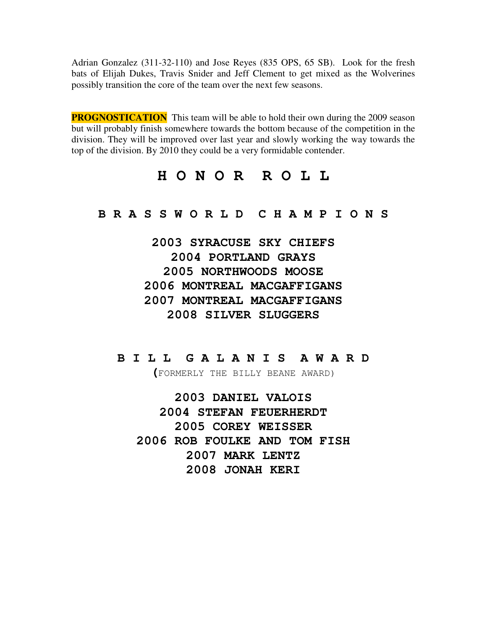Adrian Gonzalez (311-32-110) and Jose Reyes (835 OPS, 65 SB). Look for the fresh bats of Elijah Dukes, Travis Snider and Jeff Clement to get mixed as the Wolverines possibly transition the core of the team over the next few seasons.

**PROGNOSTICATION** This team will be able to hold their own during the 2009 season but will probably finish somewhere towards the bottom because of the competition in the division. They will be improved over last year and slowly working the way towards the top of the division. By 2010 they could be a very formidable contender.

### **H O N O R R O L L**

**B R A S S W O R L D C H A M P I O N S** 

**2003 SYRACUSE SKY CHIEFS 2004 PORTLAND GRAYS 2005 NORTHWOODS MOOSE 2006 MONTREAL MACGAFFIGANS 2007 MONTREAL MACGAFFIGANS 2008 SILVER SLUGGERS** 

### **B I L L G A L A N I S A W A R D**

**(**FORMERLY THE BILLY BEANE AWARD)

**2003 DANIEL VALOIS 2004 STEFAN FEUERHERDT 2005 COREY WEISSER 2006 ROB FOULKE AND TOM FISH 2007 MARK LENTZ 2008 JONAH KERI**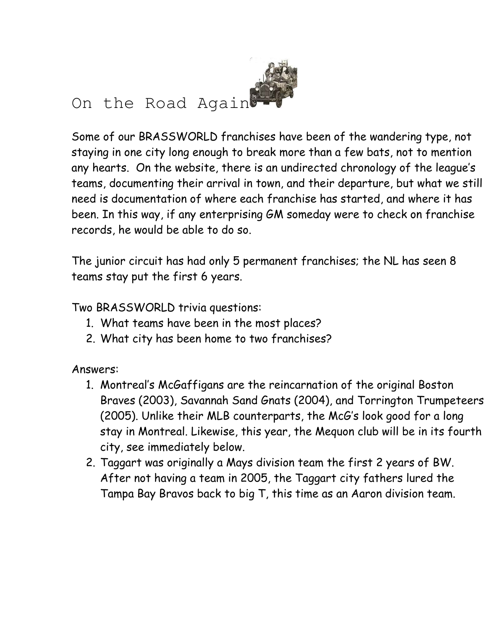

Some of our BRASSWORLD franchises have been of the wandering type, not staying in one city long enough to break more than a few bats, not to mention any hearts. On the website, there is an undirected chronology of the league's teams, documenting their arrival in town, and their departure, but what we still need is documentation of where each franchise has started, and where it has been. In this way, if any enterprising GM someday were to check on franchise records, he would be able to do so.

The junior circuit has had only 5 permanent franchises; the NL has seen 8 teams stay put the first 6 years.

Two BRASSWORLD trivia questions:

- 1. What teams have been in the most places?
- 2. What city has been home to two franchises?

Answers:

- 1. Montreal's McGaffigans are the reincarnation of the original Boston Braves (2003), Savannah Sand Gnats (2004), and Torrington Trumpeteers (2005). Unlike their MLB counterparts, the McG's look good for a long stay in Montreal. Likewise, this year, the Mequon club will be in its fourth city, see immediately below.
- 2. Taggart was originally a Mays division team the first 2 years of BW. After not having a team in 2005, the Taggart city fathers lured the Tampa Bay Bravos back to big T, this time as an Aaron division team.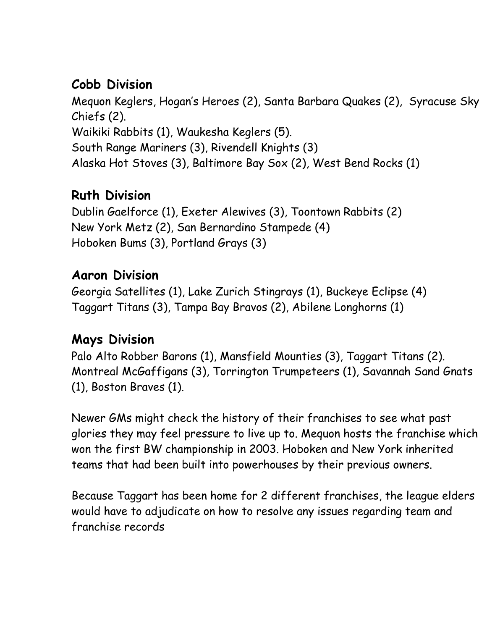# Cobb Division

Mequon Keglers, Hogan's Heroes (2), Santa Barbara Quakes (2), Syracuse Sky Chiefs (2). Waikiki Rabbits (1), Waukesha Keglers (5). South Range Mariners (3), Rivendell Knights (3) Alaska Hot Stoves (3), Baltimore Bay Sox (2), West Bend Rocks (1)

# Ruth Division

Dublin Gaelforce (1), Exeter Alewives (3), Toontown Rabbits (2) New York Metz (2), San Bernardino Stampede (4) Hoboken Bums (3), Portland Grays (3)

# Aaron Division

Georgia Satellites (1), Lake Zurich Stingrays (1), Buckeye Eclipse (4) Taggart Titans (3), Tampa Bay Bravos (2), Abilene Longhorns (1)

## Mays Division

Palo Alto Robber Barons (1), Mansfield Mounties (3), Taggart Titans (2). Montreal McGaffigans (3), Torrington Trumpeteers (1), Savannah Sand Gnats (1), Boston Braves (1).

Newer GMs might check the history of their franchises to see what past glories they may feel pressure to live up to. Mequon hosts the franchise which won the first BW championship in 2003. Hoboken and New York inherited teams that had been built into powerhouses by their previous owners.

Because Taggart has been home for 2 different franchises, the league elders would have to adjudicate on how to resolve any issues regarding team and franchise records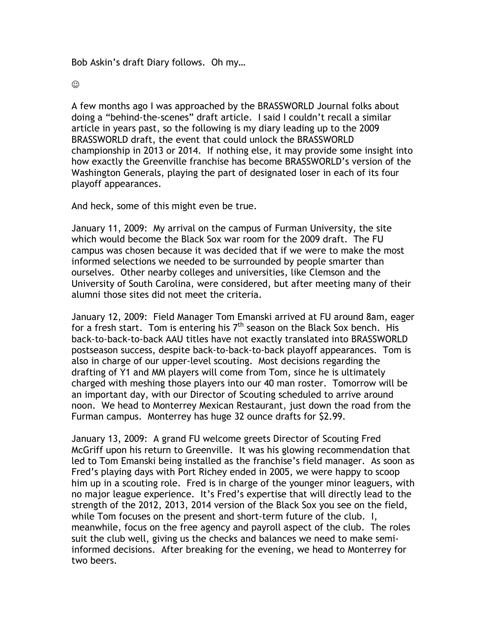Bob Askin's draft Diary follows. Oh my…

 $\odot$ 

A few months ago I was approached by the BRASSWORLD Journal folks about doing a "behind-the-scenes" draft article. I said I couldn't recall a similar article in years past, so the following is my diary leading up to the 2009 BRASSWORLD draft, the event that could unlock the BRASSWORLD championship in 2013 or 2014. If nothing else, it may provide some insight into how exactly the Greenville franchise has become BRASSWORLD's version of the Washington Generals, playing the part of designated loser in each of its four playoff appearances.

And heck, some of this might even be true.

January 11, 2009: My arrival on the campus of Furman University, the site which would become the Black Sox war room for the 2009 draft. The FU campus was chosen because it was decided that if we were to make the most informed selections we needed to be surrounded by people smarter than ourselves. Other nearby colleges and universities, like Clemson and the University of South Carolina, were considered, but after meeting many of their alumni those sites did not meet the criteria.

January 12, 2009: Field Manager Tom Emanski arrived at FU around 8am, eager for a fresh start. Tom is entering his  $7<sup>th</sup>$  season on the Black Sox bench. His back-to-back-to-back AAU titles have not exactly translated into BRASSWORLD postseason success, despite back-to-back-to-back playoff appearances. Tom is also in charge of our upper-level scouting. Most decisions regarding the drafting of Y1 and MM players will come from Tom, since he is ultimately charged with meshing those players into our 40 man roster. Tomorrow will be an important day, with our Director of Scouting scheduled to arrive around noon. We head to Monterrey Mexican Restaurant, just down the road from the Furman campus. Monterrey has huge 32 ounce drafts for \$2.99.

January 13, 2009: A grand FU welcome greets Director of Scouting Fred McGriff upon his return to Greenville. It was his glowing recommendation that led to Tom Emanski being installed as the franchise's field manager. As soon as Fred's playing days with Port Richey ended in 2005, we were happy to scoop him up in a scouting role. Fred is in charge of the younger minor leaguers, with no major league experience. It's Fred's expertise that will directly lead to the strength of the 2012, 2013, 2014 version of the Black Sox you see on the field, while Tom focuses on the present and short-term future of the club. I, meanwhile, focus on the free agency and payroll aspect of the club. The roles suit the club well, giving us the checks and balances we need to make semiinformed decisions. After breaking for the evening, we head to Monterrey for two beers.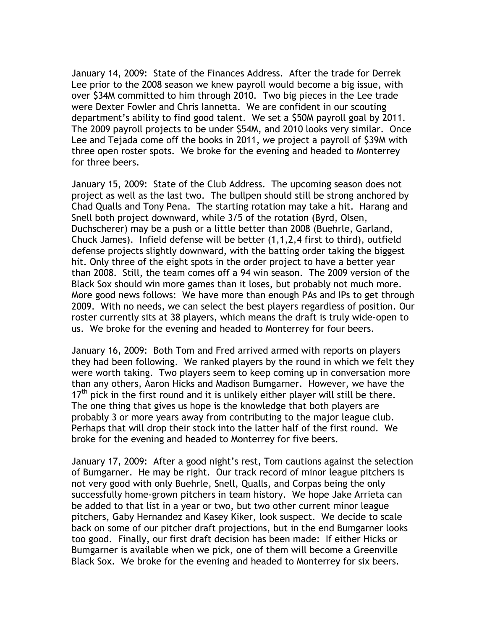January 14, 2009: State of the Finances Address. After the trade for Derrek Lee prior to the 2008 season we knew payroll would become a big issue, with over \$34M committed to him through 2010. Two big pieces in the Lee trade were Dexter Fowler and Chris Iannetta. We are confident in our scouting department's ability to find good talent. We set a \$50M payroll goal by 2011. The 2009 payroll projects to be under \$54M, and 2010 looks very similar. Once Lee and Tejada come off the books in 2011, we project a payroll of \$39M with three open roster spots. We broke for the evening and headed to Monterrey for three beers.

January 15, 2009: State of the Club Address. The upcoming season does not project as well as the last two. The bullpen should still be strong anchored by Chad Qualls and Tony Pena. The starting rotation may take a hit. Harang and Snell both project downward, while 3/5 of the rotation (Byrd, Olsen, Duchscherer) may be a push or a little better than 2008 (Buehrle, Garland, Chuck James). Infield defense will be better (1,1,2,4 first to third), outfield defense projects slightly downward, with the batting order taking the biggest hit. Only three of the eight spots in the order project to have a better year than 2008. Still, the team comes off a 94 win season. The 2009 version of the Black Sox should win more games than it loses, but probably not much more. More good news follows: We have more than enough PAs and IPs to get through 2009. With no needs, we can select the best players regardless of position. Our roster currently sits at 38 players, which means the draft is truly wide-open to us. We broke for the evening and headed to Monterrey for four beers.

January 16, 2009: Both Tom and Fred arrived armed with reports on players they had been following. We ranked players by the round in which we felt they were worth taking. Two players seem to keep coming up in conversation more than any others, Aaron Hicks and Madison Bumgarner. However, we have the  $17<sup>th</sup>$  pick in the first round and it is unlikely either player will still be there. The one thing that gives us hope is the knowledge that both players are probably 3 or more years away from contributing to the major league club. Perhaps that will drop their stock into the latter half of the first round. We broke for the evening and headed to Monterrey for five beers.

January 17, 2009: After a good night's rest, Tom cautions against the selection of Bumgarner. He may be right. Our track record of minor league pitchers is not very good with only Buehrle, Snell, Qualls, and Corpas being the only successfully home-grown pitchers in team history. We hope Jake Arrieta can be added to that list in a year or two, but two other current minor league pitchers, Gaby Hernandez and Kasey Kiker, look suspect. We decide to scale back on some of our pitcher draft projections, but in the end Bumgarner looks too good. Finally, our first draft decision has been made: If either Hicks or Bumgarner is available when we pick, one of them will become a Greenville Black Sox. We broke for the evening and headed to Monterrey for six beers.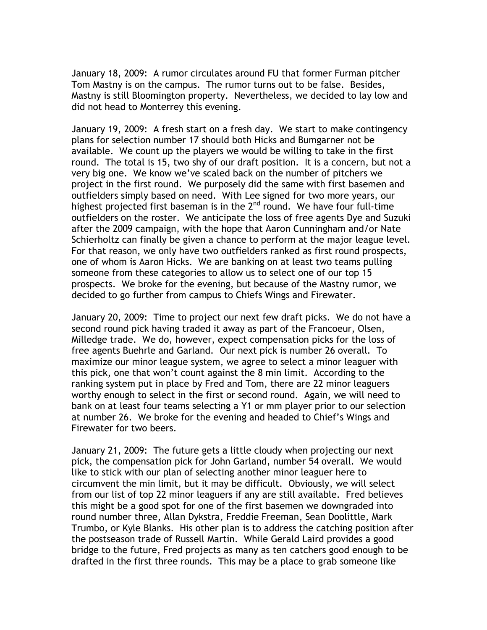January 18, 2009: A rumor circulates around FU that former Furman pitcher Tom Mastny is on the campus. The rumor turns out to be false. Besides, Mastny is still Bloomington property. Nevertheless, we decided to lay low and did not head to Monterrey this evening.

January 19, 2009: A fresh start on a fresh day. We start to make contingency plans for selection number 17 should both Hicks and Bumgarner not be available. We count up the players we would be willing to take in the first round. The total is 15, two shy of our draft position. It is a concern, but not a very big one. We know we've scaled back on the number of pitchers we project in the first round. We purposely did the same with first basemen and outfielders simply based on need. With Lee signed for two more years, our highest projected first baseman is in the 2<sup>nd</sup> round. We have four full-time outfielders on the roster. We anticipate the loss of free agents Dye and Suzuki after the 2009 campaign, with the hope that Aaron Cunningham and/or Nate Schierholtz can finally be given a chance to perform at the major league level. For that reason, we only have two outfielders ranked as first round prospects, one of whom is Aaron Hicks. We are banking on at least two teams pulling someone from these categories to allow us to select one of our top 15 prospects. We broke for the evening, but because of the Mastny rumor, we decided to go further from campus to Chiefs Wings and Firewater.

January 20, 2009: Time to project our next few draft picks. We do not have a second round pick having traded it away as part of the Francoeur, Olsen, Milledge trade. We do, however, expect compensation picks for the loss of free agents Buehrle and Garland. Our next pick is number 26 overall. To maximize our minor league system, we agree to select a minor leaguer with this pick, one that won't count against the 8 min limit. According to the ranking system put in place by Fred and Tom, there are 22 minor leaguers worthy enough to select in the first or second round. Again, we will need to bank on at least four teams selecting a Y1 or mm player prior to our selection at number 26. We broke for the evening and headed to Chief's Wings and Firewater for two beers.

January 21, 2009: The future gets a little cloudy when projecting our next pick, the compensation pick for John Garland, number 54 overall. We would like to stick with our plan of selecting another minor leaguer here to circumvent the min limit, but it may be difficult. Obviously, we will select from our list of top 22 minor leaguers if any are still available. Fred believes this might be a good spot for one of the first basemen we downgraded into round number three, Allan Dykstra, Freddie Freeman, Sean Doolittle, Mark Trumbo, or Kyle Blanks. His other plan is to address the catching position after the postseason trade of Russell Martin. While Gerald Laird provides a good bridge to the future, Fred projects as many as ten catchers good enough to be drafted in the first three rounds. This may be a place to grab someone like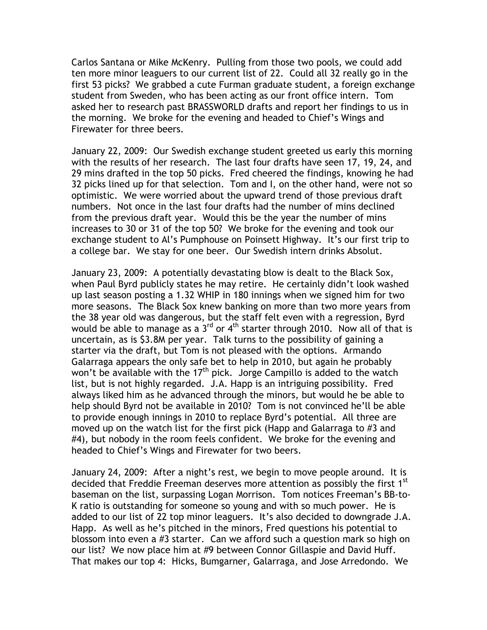Carlos Santana or Mike McKenry. Pulling from those two pools, we could add ten more minor leaguers to our current list of 22. Could all 32 really go in the first 53 picks? We grabbed a cute Furman graduate student, a foreign exchange student from Sweden, who has been acting as our front office intern. Tom asked her to research past BRASSWORLD drafts and report her findings to us in the morning. We broke for the evening and headed to Chief's Wings and Firewater for three beers.

January 22, 2009: Our Swedish exchange student greeted us early this morning with the results of her research. The last four drafts have seen 17, 19, 24, and 29 mins drafted in the top 50 picks. Fred cheered the findings, knowing he had 32 picks lined up for that selection. Tom and I, on the other hand, were not so optimistic. We were worried about the upward trend of those previous draft numbers. Not once in the last four drafts had the number of mins declined from the previous draft year. Would this be the year the number of mins increases to 30 or 31 of the top 50? We broke for the evening and took our exchange student to Al's Pumphouse on Poinsett Highway. It's our first trip to a college bar. We stay for one beer. Our Swedish intern drinks Absolut.

January 23, 2009: A potentially devastating blow is dealt to the Black Sox, when Paul Byrd publicly states he may retire. He certainly didn't look washed up last season posting a 1.32 WHIP in 180 innings when we signed him for two more seasons. The Black Sox knew banking on more than two more years from the 38 year old was dangerous, but the staff felt even with a regression, Byrd would be able to manage as a  $3<sup>rd</sup>$  or 4<sup>th</sup> starter through 2010. Now all of that is uncertain, as is \$3.8M per year. Talk turns to the possibility of gaining a starter via the draft, but Tom is not pleased with the options. Armando Galarraga appears the only safe bet to help in 2010, but again he probably won't be available with the  $17<sup>th</sup>$  pick. Jorge Campillo is added to the watch list, but is not highly regarded. J.A. Happ is an intriguing possibility. Fred always liked him as he advanced through the minors, but would he be able to help should Byrd not be available in 2010? Tom is not convinced he'll be able to provide enough innings in 2010 to replace Byrd's potential. All three are moved up on the watch list for the first pick (Happ and Galarraga to #3 and #4), but nobody in the room feels confident. We broke for the evening and headed to Chief's Wings and Firewater for two beers.

January 24, 2009: After a night's rest, we begin to move people around. It is decided that Freddie Freeman deserves more attention as possibly the first 1<sup>st</sup> baseman on the list, surpassing Logan Morrison. Tom notices Freeman's BB-to-K ratio is outstanding for someone so young and with so much power. He is added to our list of 22 top minor leaguers. It's also decided to downgrade J.A. Happ. As well as he's pitched in the minors, Fred questions his potential to blossom into even a #3 starter. Can we afford such a question mark so high on our list? We now place him at #9 between Connor Gillaspie and David Huff. That makes our top 4: Hicks, Bumgarner, Galarraga, and Jose Arredondo. We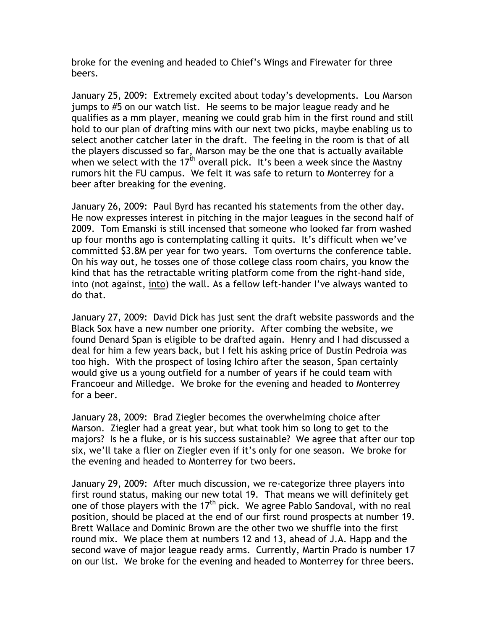broke for the evening and headed to Chief's Wings and Firewater for three beers.

January 25, 2009: Extremely excited about today's developments. Lou Marson jumps to #5 on our watch list. He seems to be major league ready and he qualifies as a mm player, meaning we could grab him in the first round and still hold to our plan of drafting mins with our next two picks, maybe enabling us to select another catcher later in the draft. The feeling in the room is that of all the players discussed so far, Marson may be the one that is actually available when we select with the 17<sup>th</sup> overall pick. It's been a week since the Mastny rumors hit the FU campus. We felt it was safe to return to Monterrey for a beer after breaking for the evening.

January 26, 2009: Paul Byrd has recanted his statements from the other day. He now expresses interest in pitching in the major leagues in the second half of 2009. Tom Emanski is still incensed that someone who looked far from washed up four months ago is contemplating calling it quits. It's difficult when we've committed \$3.8M per year for two years. Tom overturns the conference table. On his way out, he tosses one of those college class room chairs, you know the kind that has the retractable writing platform come from the right-hand side, into (not against, into) the wall. As a fellow left-hander I've always wanted to do that.

January 27, 2009: David Dick has just sent the draft website passwords and the Black Sox have a new number one priority. After combing the website, we found Denard Span is eligible to be drafted again. Henry and I had discussed a deal for him a few years back, but I felt his asking price of Dustin Pedroia was too high. With the prospect of losing Ichiro after the season, Span certainly would give us a young outfield for a number of years if he could team with Francoeur and Milledge. We broke for the evening and headed to Monterrey for a beer.

January 28, 2009: Brad Ziegler becomes the overwhelming choice after Marson. Ziegler had a great year, but what took him so long to get to the majors? Is he a fluke, or is his success sustainable? We agree that after our top six, we'll take a flier on Ziegler even if it's only for one season. We broke for the evening and headed to Monterrey for two beers.

January 29, 2009: After much discussion, we re-categorize three players into first round status, making our new total 19. That means we will definitely get one of those players with the  $17<sup>th</sup>$  pick. We agree Pablo Sandoval, with no real position, should be placed at the end of our first round prospects at number 19. Brett Wallace and Dominic Brown are the other two we shuffle into the first round mix. We place them at numbers 12 and 13, ahead of J.A. Happ and the second wave of major league ready arms. Currently, Martin Prado is number 17 on our list. We broke for the evening and headed to Monterrey for three beers.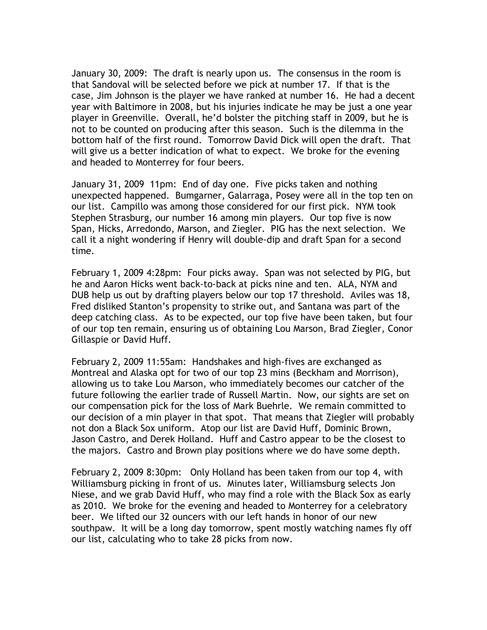January 30, 2009: The draft is nearly upon us. The consensus in the room is that Sandoval will be selected before we pick at number 17. If that is the case, Jim Johnson is the player we have ranked at number 16. He had a decent year with Baltimore in 2008, but his injuries indicate he may be just a one year player in Greenville. Overall, he'd bolster the pitching staff in 2009, but he is not to be counted on producing after this season. Such is the dilemma in the bottom half of the first round. Tomorrow David Dick will open the draft. That will give us a better indication of what to expect. We broke for the evening and headed to Monterrey for four beers.

January 31, 2009 11pm: End of day one. Five picks taken and nothing unexpected happened. Bumgarner, Galarraga, Posey were all in the top ten on our list. Campillo was among those considered for our first pick. NYM took Stephen Strasburg, our number 16 among min players. Our top five is now Span, Hicks, Arredondo, Marson, and Ziegler. PIG has the next selection. We call it a night wondering if Henry will double-dip and draft Span for a second time.

February 1, 2009 4:28pm: Four picks away. Span was not selected by PIG, but he and Aaron Hicks went back-to-back at picks nine and ten. ALA, NYM and DUB help us out by drafting players below our top 17 threshold. Aviles was 18, Fred disliked Stanton's propensity to strike out, and Santana was part of the deep catching class. As to be expected, our top five have been taken, but four of our top ten remain, ensuring us of obtaining Lou Marson, Brad Ziegler, Conor Gillaspie or David Huff.

February 2, 2009 11:55am: Handshakes and high-fives are exchanged as Montreal and Alaska opt for two of our top 23 mins (Beckham and Morrison), allowing us to take Lou Marson, who immediately becomes our catcher of the future following the earlier trade of Russell Martin. Now, our sights are set on our compensation pick for the loss of Mark Buehrle. We remain committed to our decision of a min player in that spot. That means that Ziegler will probably not don a Black Sox uniform. Atop our list are David Huff, Dominic Brown, Jason Castro, and Derek Holland. Huff and Castro appear to be the closest to the majors. Castro and Brown play positions where we do have some depth.

February 2, 2009 8:30pm: Only Holland has been taken from our top 4, with Williamsburg picking in front of us. Minutes later, Williamsburg selects Jon Niese, and we grab David Huff, who may find a role with the Black Sox as early as 2010. We broke for the evening and headed to Monterrey for a celebratory beer. We lifted our 32 ouncers with our left hands in honor of our new southpaw. It will be a long day tomorrow, spent mostly watching names fly off our list, calculating who to take 28 picks from now.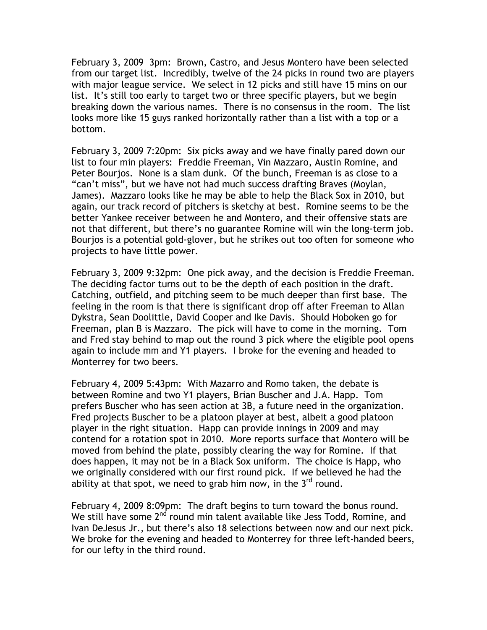February 3, 2009 3pm: Brown, Castro, and Jesus Montero have been selected from our target list. Incredibly, twelve of the 24 picks in round two are players with major league service. We select in 12 picks and still have 15 mins on our list. It's still too early to target two or three specific players, but we begin breaking down the various names. There is no consensus in the room. The list looks more like 15 guys ranked horizontally rather than a list with a top or a bottom.

February 3, 2009 7:20pm: Six picks away and we have finally pared down our list to four min players: Freddie Freeman, Vin Mazzaro, Austin Romine, and Peter Bourjos. None is a slam dunk. Of the bunch, Freeman is as close to a "can't miss", but we have not had much success drafting Braves (Moylan, James). Mazzaro looks like he may be able to help the Black Sox in 2010, but again, our track record of pitchers is sketchy at best. Romine seems to be the better Yankee receiver between he and Montero, and their offensive stats are not that different, but there's no guarantee Romine will win the long-term job. Bourjos is a potential gold-glover, but he strikes out too often for someone who projects to have little power.

February 3, 2009 9:32pm: One pick away, and the decision is Freddie Freeman. The deciding factor turns out to be the depth of each position in the draft. Catching, outfield, and pitching seem to be much deeper than first base. The feeling in the room is that there is significant drop off after Freeman to Allan Dykstra, Sean Doolittle, David Cooper and Ike Davis. Should Hoboken go for Freeman, plan B is Mazzaro. The pick will have to come in the morning. Tom and Fred stay behind to map out the round 3 pick where the eligible pool opens again to include mm and Y1 players. I broke for the evening and headed to Monterrey for two beers.

February 4, 2009 5:43pm: With Mazarro and Romo taken, the debate is between Romine and two Y1 players, Brian Buscher and J.A. Happ. Tom prefers Buscher who has seen action at 3B, a future need in the organization. Fred projects Buscher to be a platoon player at best, albeit a good platoon player in the right situation. Happ can provide innings in 2009 and may contend for a rotation spot in 2010. More reports surface that Montero will be moved from behind the plate, possibly clearing the way for Romine. If that does happen, it may not be in a Black Sox uniform. The choice is Happ, who we originally considered with our first round pick. If we believed he had the ability at that spot, we need to grab him now, in the  $3^{rd}$  round.

February 4, 2009 8:09pm: The draft begins to turn toward the bonus round. We still have some  $2^{nd}$  round min talent available like Jess Todd, Romine, and Ivan DeJesus Jr., but there's also 18 selections between now and our next pick. We broke for the evening and headed to Monterrey for three left-handed beers, for our lefty in the third round.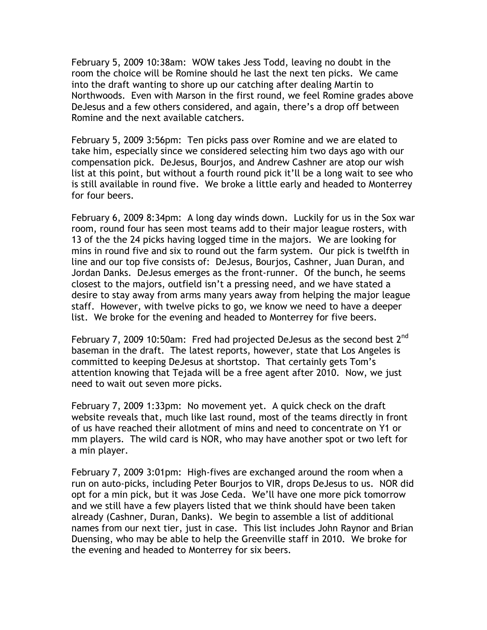February 5, 2009 10:38am: WOW takes Jess Todd, leaving no doubt in the room the choice will be Romine should he last the next ten picks. We came into the draft wanting to shore up our catching after dealing Martin to Northwoods. Even with Marson in the first round, we feel Romine grades above DeJesus and a few others considered, and again, there's a drop off between Romine and the next available catchers.

February 5, 2009 3:56pm: Ten picks pass over Romine and we are elated to take him, especially since we considered selecting him two days ago with our compensation pick. DeJesus, Bourjos, and Andrew Cashner are atop our wish list at this point, but without a fourth round pick it'll be a long wait to see who is still available in round five. We broke a little early and headed to Monterrey for four beers.

February 6, 2009 8:34pm: A long day winds down. Luckily for us in the Sox war room, round four has seen most teams add to their major league rosters, with 13 of the the 24 picks having logged time in the majors. We are looking for mins in round five and six to round out the farm system. Our pick is twelfth in line and our top five consists of: DeJesus, Bourjos, Cashner, Juan Duran, and Jordan Danks. DeJesus emerges as the front-runner. Of the bunch, he seems closest to the majors, outfield isn't a pressing need, and we have stated a desire to stay away from arms many years away from helping the major league staff. However, with twelve picks to go, we know we need to have a deeper list. We broke for the evening and headed to Monterrey for five beers.

February 7, 2009 10:50am: Fred had projected DeJesus as the second best 2<sup>nd</sup> baseman in the draft. The latest reports, however, state that Los Angeles is committed to keeping DeJesus at shortstop. That certainly gets Tom's attention knowing that Tejada will be a free agent after 2010. Now, we just need to wait out seven more picks.

February 7, 2009 1:33pm: No movement yet. A quick check on the draft website reveals that, much like last round, most of the teams directly in front of us have reached their allotment of mins and need to concentrate on Y1 or mm players. The wild card is NOR, who may have another spot or two left for a min player.

February 7, 2009 3:01pm: High-fives are exchanged around the room when a run on auto-picks, including Peter Bourjos to VIR, drops DeJesus to us. NOR did opt for a min pick, but it was Jose Ceda. We'll have one more pick tomorrow and we still have a few players listed that we think should have been taken already (Cashner, Duran, Danks). We begin to assemble a list of additional names from our next tier, just in case. This list includes John Raynor and Brian Duensing, who may be able to help the Greenville staff in 2010. We broke for the evening and headed to Monterrey for six beers.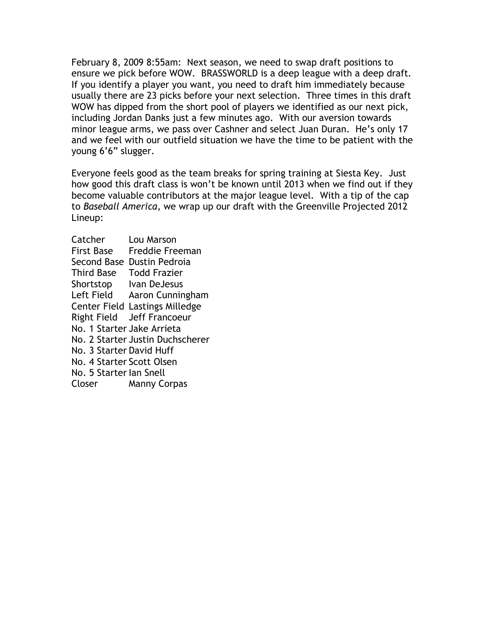February 8, 2009 8:55am: Next season, we need to swap draft positions to ensure we pick before WOW. BRASSWORLD is a deep league with a deep draft. If you identify a player you want, you need to draft him immediately because usually there are 23 picks before your next selection. Three times in this draft WOW has dipped from the short pool of players we identified as our next pick, including Jordan Danks just a few minutes ago. With our aversion towards minor league arms, we pass over Cashner and select Juan Duran. He's only 17 and we feel with our outfield situation we have the time to be patient with the young 6'6" slugger.

Everyone feels good as the team breaks for spring training at Siesta Key. Just how good this draft class is won't be known until 2013 when we find out if they become valuable contributors at the major league level. With a tip of the cap to Baseball America, we wrap up our draft with the Greenville Projected 2012 Lineup:

| Catcher                    | Lou Marson                       |
|----------------------------|----------------------------------|
| <b>First Base</b>          | Freddie Freeman                  |
| Second Base                | Dustin Pedroia                   |
| <b>Third Base</b>          | <b>Todd Frazier</b>              |
| Shortstop                  | Ivan DeJesus                     |
| Left Field                 | Aaron Cunningham                 |
|                            | Center Field Lastings Milledge   |
|                            | Right Field Jeff Francoeur       |
| No. 1 Starter Jake Arrieta |                                  |
|                            | No. 2 Starter Justin Duchscherer |
| No. 3 Starter David Huff   |                                  |
| No. 4 Starter Scott Olsen  |                                  |
| No. 5 Starter Ian Snell    |                                  |
| Closer                     | <b>Manny Corpas</b>              |
|                            |                                  |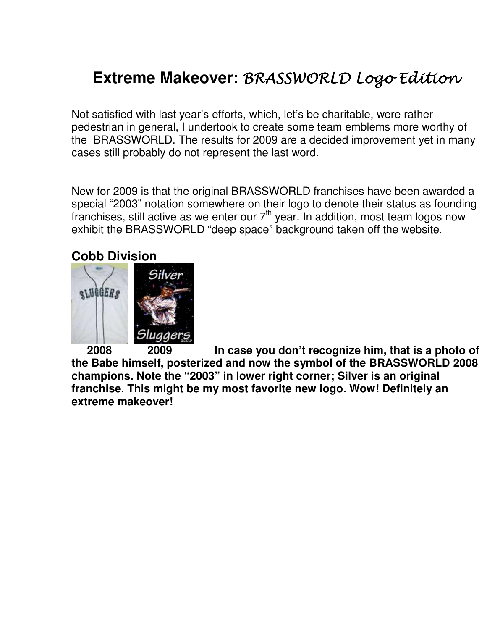# **Extreme Makeover: BRASSWORLD Logo Edition**

Not satisfied with last year's efforts, which, let's be charitable, were rather pedestrian in general, I undertook to create some team emblems more worthy of the BRASSWORLD. The results for 2009 are a decided improvement yet in many cases still probably do not represent the last word.

New for 2009 is that the original BRASSWORLD franchises have been awarded a special "2003" notation somewhere on their logo to denote their status as founding franchises, still active as we enter our  $7<sup>th</sup>$  year. In addition, most team logos now exhibit the BRASSWORLD "deep space" background taken off the website.

### **Cobb Division**



 **2008 2009 In case you don't recognize him, that is a photo of the Babe himself, posterized and now the symbol of the BRASSWORLD 2008 champions. Note the "2003" in lower right corner; Silver is an original franchise. This might be my most favorite new logo. Wow! Definitely an extreme makeover!**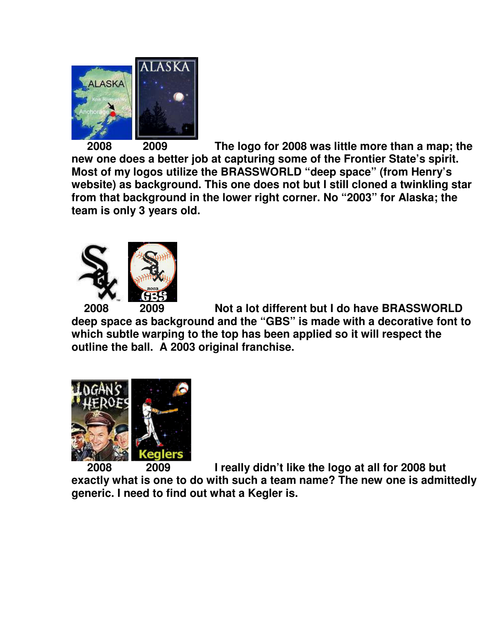

 **2008 2009 The logo for 2008 was little more than a map; the new one does a better job at capturing some of the Frontier State's spirit. Most of my logos utilize the BRASSWORLD "deep space" (from Henry's website) as background. This one does not but I still cloned a twinkling star from that background in the lower right corner. No "2003" for Alaska; the team is only 3 years old.** 



 **2008 2009 Not a lot different but I do have BRASSWORLD deep space as background and the "GBS" is made with a decorative font to which subtle warping to the top has been applied so it will respect the outline the ball. A 2003 original franchise.** 



 **2008 2009 I really didn't like the logo at all for 2008 but exactly what is one to do with such a team name? The new one is admittedly generic. I need to find out what a Kegler is.**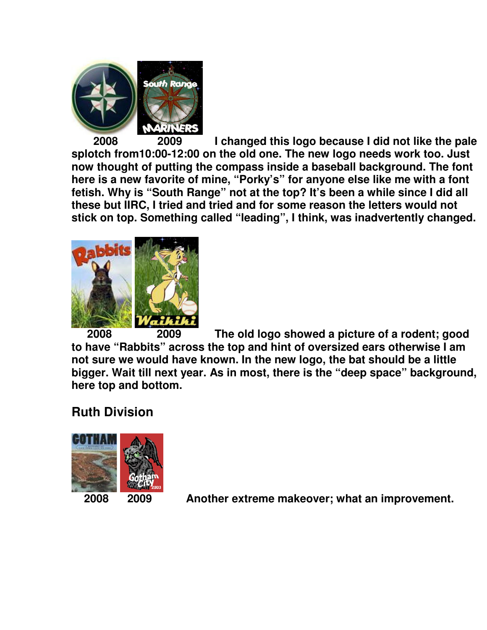

 **2008 2009 I changed this logo because I did not like the pale splotch from10:00-12:00 on the old one. The new logo needs work too. Just now thought of putting the compass inside a baseball background. The font here is a new favorite of mine, "Porky's" for anyone else like me with a font fetish. Why is "South Range" not at the top? It's been a while since I did all these but IIRC, I tried and tried and for some reason the letters would not stick on top. Something called "leading", I think, was inadvertently changed.** 



 **2008 2009 The old logo showed a picture of a rodent; good to have "Rabbits" across the top and hint of oversized ears otherwise I am not sure we would have known. In the new logo, the bat should be a little bigger. Wait till next year. As in most, there is the "deep space" background, here top and bottom.** 

## **Ruth Division**



 **2008 2009 Another extreme makeover; what an improvement.**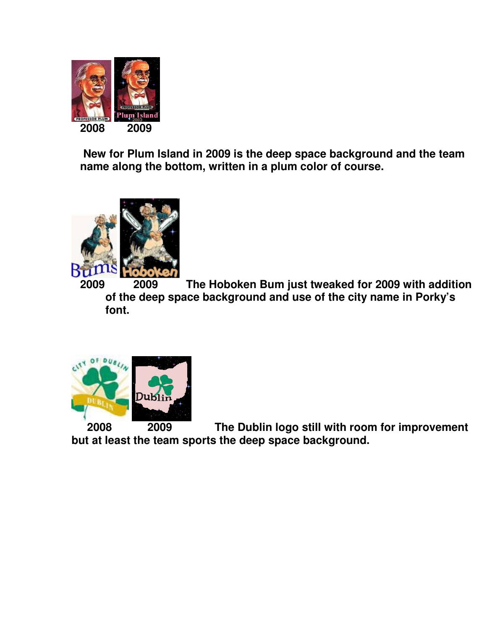

 **New for Plum Island in 2009 is the deep space background and the team name along the bottom, written in a plum color of course.** 



**2009 2009 The Hoboken Bum just tweaked for 2009 with addition of the deep space background and use of the city name in Porky's font.** 



 **2008 2009 The Dublin logo still with room for improvement but at least the team sports the deep space background.**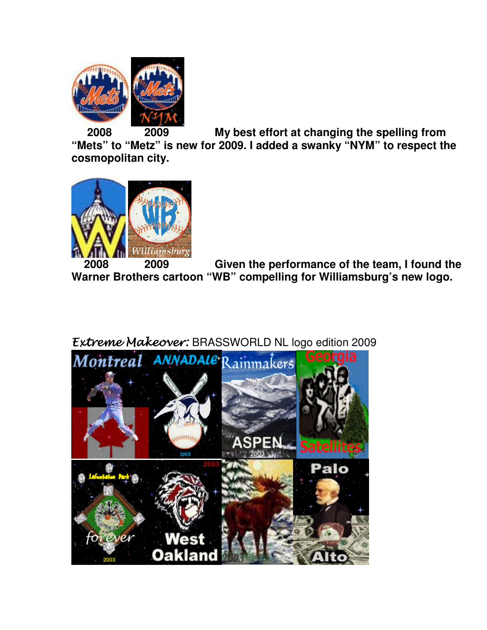

 **2008 2009 My best effort at changing the spelling from** 

**"Mets" to "Metz" is new for 2009. I added a swanky "NYM" to respect the cosmopolitan city.** 



 **2008 2009 Given the performance of the team, I found the Warner Brothers cartoon "WB" compelling for Williamsburg's new logo.** 

## Extreme Makeover: BRASSWORLD NL logo edition 2009